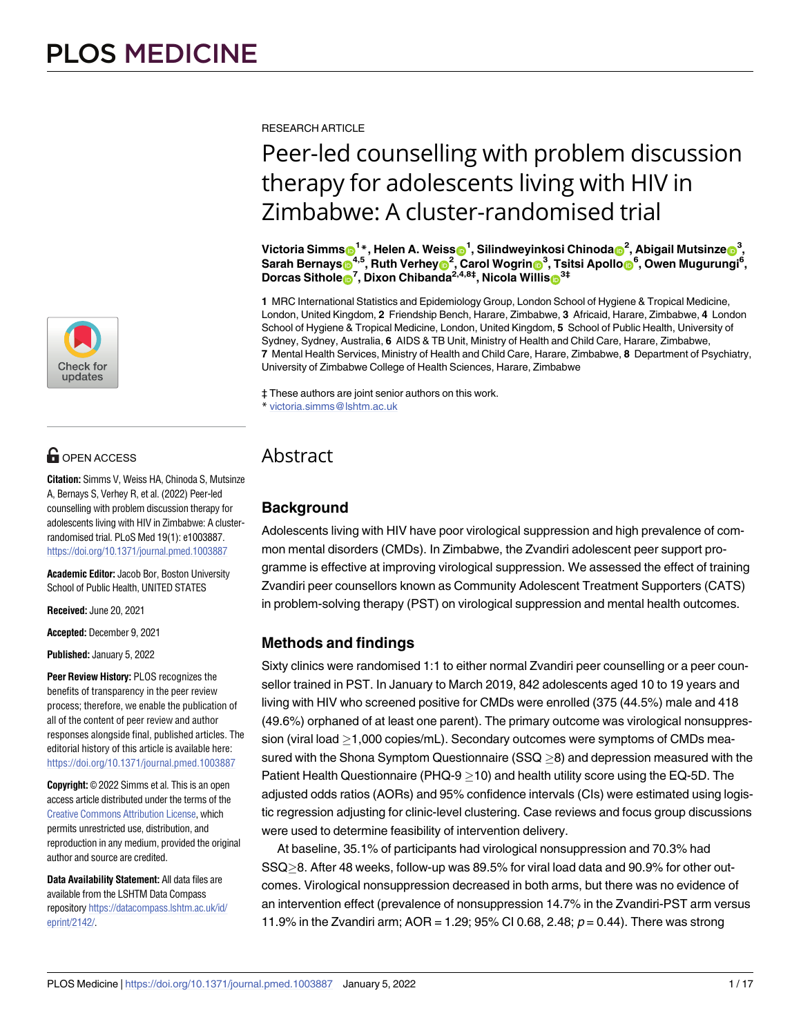

## **OPEN ACCESS**

**Citation:** Simms V, Weiss HA, Chinoda S, Mutsinze A, Bernays S, Verhey R, et al. (2022) Peer-led counselling with problem discussion therapy for adolescents living with HIV in Zimbabwe: A clusterrandomised trial. PLoS Med 19(1): e1003887. <https://doi.org/10.1371/journal.pmed.1003887>

**Academic Editor:** Jacob Bor, Boston University School of Public Health, UNITED STATES

**Received:** June 20, 2021

**Accepted:** December 9, 2021

**Published:** January 5, 2022

**Peer Review History:** PLOS recognizes the benefits of transparency in the peer review process; therefore, we enable the publication of all of the content of peer review and author responses alongside final, published articles. The editorial history of this article is available here: <https://doi.org/10.1371/journal.pmed.1003887>

**Copyright:** © 2022 Simms et al. This is an open access article distributed under the terms of the Creative Commons [Attribution](http://creativecommons.org/licenses/by/4.0/) License, which permits unrestricted use, distribution, and reproduction in any medium, provided the original author and source are credited.

**Data Availability Statement:** All data files are available from the LSHTM Data Compass repository [https://datacompass.lshtm.ac.uk/id/](https://datacompass.lshtm.ac.uk/id/eprint/2142/) [eprint/2142/](https://datacompass.lshtm.ac.uk/id/eprint/2142/).

RESEARCH ARTICLE

# Peer-led counselling with problem discussion therapy for adolescents living with HIV in Zimbabwe: A cluster-randomised trial

 $\textbf{V}$ ictoria Simms $\textbf{O}^{1*}$ , Helen A. Weiss $\textbf{O}^{1}$ , Silindweyinkosi Chinoda $\textbf{O}^{2}$ , Abigail Mutsinze $\textbf{O}^{3},$ Sarah Bernays⊕<sup>4,5</sup>, Ruth Verhey<mark>⊕<sup>2</sup>, Carol Wogrin⊜<sup>3</sup>, Tsitsi Apollo</mark> e<sup>6</sup>, Owen Mugurungi<sup>6</sup>,  $D$ orcas Sithole<sup>n</sup>, Dixon Chibanda<sup>2,4,8‡</sup>, Nicola Willis<sup>n 3‡</sup>

**1** MRC International Statistics and Epidemiology Group, London School of Hygiene & Tropical Medicine, London, United Kingdom, **2** Friendship Bench, Harare, Zimbabwe, **3** Africaid, Harare, Zimbabwe, **4** London School of Hygiene & Tropical Medicine, London, United Kingdom, **5** School of Public Health, University of Sydney, Sydney, Australia, **6** AIDS & TB Unit, Ministry of Health and Child Care, Harare, Zimbabwe, **7** Mental Health Services, Ministry of Health and Child Care, Harare, Zimbabwe, **8** Department of Psychiatry, University of Zimbabwe College of Health Sciences, Harare, Zimbabwe

‡ These authors are joint senior authors on this work. \* victoria.simms@lshtm.ac.uk

## **Abstract**

## **Background**

Adolescents living with HIV have poor virological suppression and high prevalence of common mental disorders (CMDs). In Zimbabwe, the Zvandiri adolescent peer support programme is effective at improving virological suppression. We assessed the effect of training Zvandiri peer counsellors known as Community Adolescent Treatment Supporters (CATS) in problem-solving therapy (PST) on virological suppression and mental health outcomes.

## **Methods and findings**

Sixty clinics were randomised 1:1 to either normal Zvandiri peer counselling or a peer counsellor trained in PST. In January to March 2019, 842 adolescents aged 10 to 19 years and living with HIV who screened positive for CMDs were enrolled (375 (44.5%) male and 418 (49.6%) orphaned of at least one parent). The primary outcome was virological nonsuppression (viral load  $\geq$ 1,000 copies/mL). Secondary outcomes were symptoms of CMDs measured with the Shona Symptom Questionnaire  $(SSQ > 8)$  and depression measured with the Patient Health Questionnaire (PHQ-9  $>$  10) and health utility score using the EQ-5D. The adjusted odds ratios (AORs) and 95% confidence intervals (CIs) were estimated using logistic regression adjusting for clinic-level clustering. Case reviews and focus group discussions were used to determine feasibility of intervention delivery.

At baseline, 35.1% of participants had virological nonsuppression and 70.3% had SSQ > 8. After 48 weeks, follow-up was 89.5% for viral load data and 90.9% for other outcomes. Virological nonsuppression decreased in both arms, but there was no evidence of an intervention effect (prevalence of nonsuppression 14.7% in the Zvandiri-PST arm versus 11.9% in the Zvandiri arm;  $AOR = 1.29$ ; 95% CI 0.68, 2.48;  $p = 0.44$ ). There was strong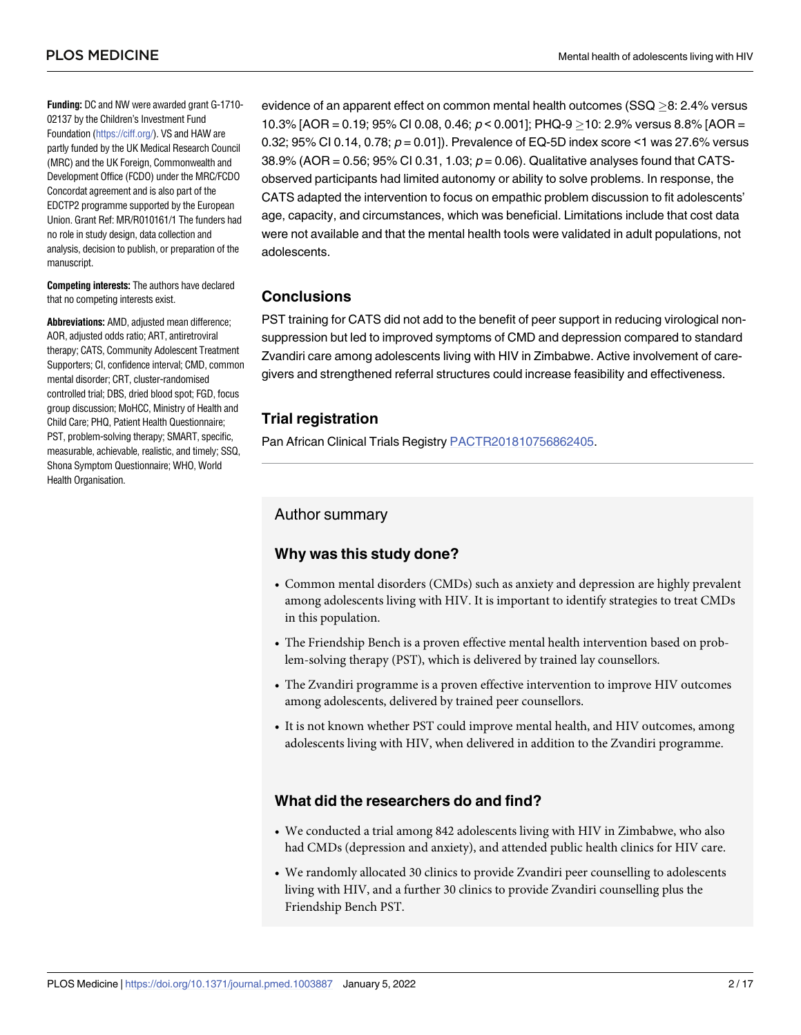**Funding:** DC and NW were awarded grant G-1710- 02137 by the Children's Investment Fund Foundation [\(https://ciff.org/](https://ciff.org/)). VS and HAW are partly funded by the UK Medical Research Council (MRC) and the UK Foreign, Commonwealth and Development Office (FCDO) under the MRC/FCDO Concordat agreement and is also part of the EDCTP2 programme supported by the European Union. Grant Ref: MR/R010161/1 The funders had no role in study design, data collection and analysis, decision to publish, or preparation of the manuscript.

**Competing interests:** The authors have declared that no competing interests exist.

AOR, adjusted odds ratio; ART, antiretroviral therapy; CATS, Community Adolescent Treatment Supporters; CI, confidence interval; CMD, common mental disorder; CRT, cluster-randomised controlled trial; DBS, dried blood spot; FGD, focus group discussion; MoHCC, Ministry of Health and Child Care; PHQ, Patient Health Questionnaire; PST, problem-solving therapy; SMART, specific, measurable, achievable, realistic, and timely; SSQ, Shona Symptom Questionnaire; WHO, World Health Organisation.

evidence of an apparent effect on common mental health outcomes ( $SSQ > 8$ : 2.4% versus 10.3% [AOR = 0.19; 95% CI 0.08, 0.46;  $p < 0.001$ ]; PHQ-9  $>$  10: 2.9% versus 8.8% [AOR = 0.32; 95% CI 0.14, 0.78;  $p = 0.01$ ]). Prevalence of EQ-5D index score <1 was 27.6% versus 38.9% (AOR = 0.56; 95% CI 0.31, 1.03;  $p = 0.06$ ). Qualitative analyses found that CATSobserved participants had limited autonomy or ability to solve problems. In response, the CATS adapted the intervention to focus on empathic problem discussion to fit adolescents' age, capacity, and circumstances, which was beneficial. Limitations include that cost data were not available and that the mental health tools were validated in adult populations, not adolescents.

## **Conclusions**

Abbreviations: AMD, adjusted mean difference; PST training for CATS did not add to the benefit of peer support in reducing virological nonsuppression but led to improved symptoms of CMD and depression compared to standard Zvandiri care among adolescents living with HIV in Zimbabwe. Active involvement of caregivers and strengthened referral structures could increase feasibility and effectiveness.

## **Trial registration**

Pan African Clinical Trials Registry [PACTR201810756862405](https://pactr.samrc.ac.za/TrialDisplay.aspx?TrialID=3523).

## Author summary

## **Why was this study done?**

- Common mental disorders (CMDs) such as anxiety and depression are highly prevalent among adolescents living with HIV. It is important to identify strategies to treat CMDs in this population.
- The Friendship Bench is a proven effective mental health intervention based on problem-solving therapy (PST), which is delivered by trained lay counsellors.
- The Zvandiri programme is a proven effective intervention to improve HIV outcomes among adolescents, delivered by trained peer counsellors.
- It is not known whether PST could improve mental health, and HIV outcomes, among adolescents living with HIV, when delivered in addition to the Zvandiri programme.

## **What did the researchers do and find?**

- We conducted a trial among 842 adolescents living with HIV in Zimbabwe, who also had CMDs (depression and anxiety), and attended public health clinics for HIV care.
- We randomly allocated 30 clinics to provide Zvandiri peer counselling to adolescents living with HIV, and a further 30 clinics to provide Zvandiri counselling plus the Friendship Bench PST.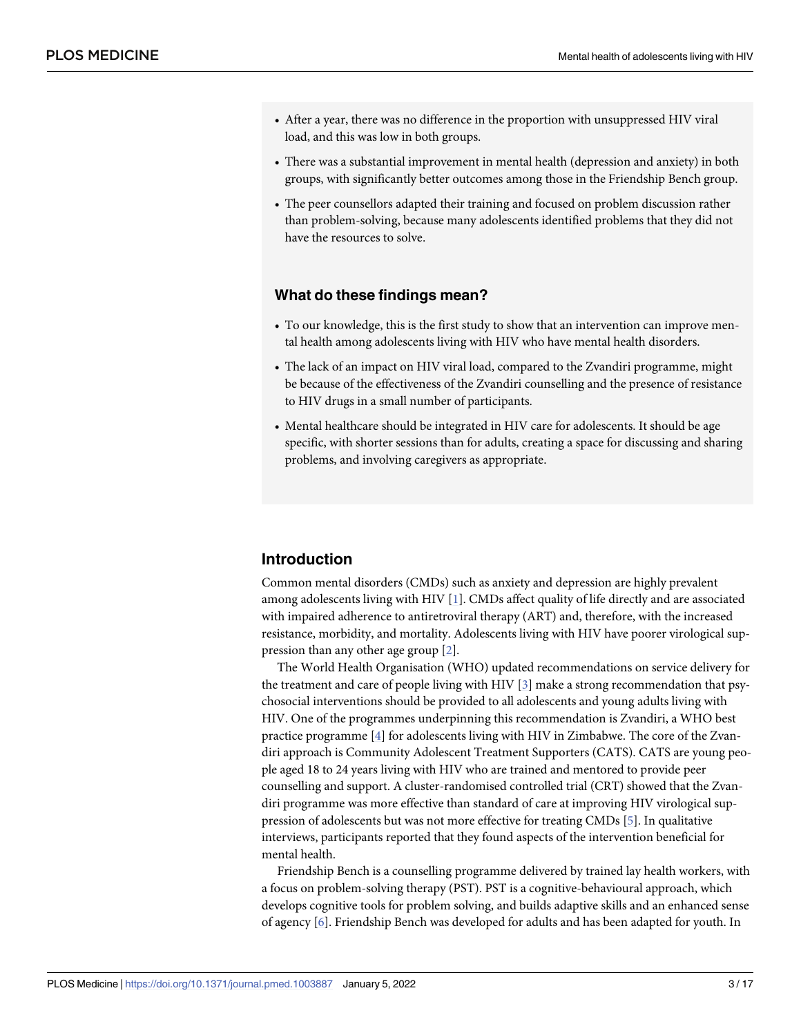- <span id="page-2-0"></span>• After a year, there was no difference in the proportion with unsuppressed HIV viral load, and this was low in both groups.
- There was a substantial improvement in mental health (depression and anxiety) in both groups, with significantly better outcomes among those in the Friendship Bench group.
- The peer counsellors adapted their training and focused on problem discussion rather than problem-solving, because many adolescents identified problems that they did not have the resources to solve.

#### **What do these findings mean?**

- To our knowledge, this is the first study to show that an intervention can improve mental health among adolescents living with HIV who have mental health disorders.
- The lack of an impact on HIV viral load, compared to the Zvandiri programme, might be because of the effectiveness of the Zvandiri counselling and the presence of resistance to HIV drugs in a small number of participants.
- Mental healthcare should be integrated in HIV care for adolescents. It should be age specific, with shorter sessions than for adults, creating a space for discussing and sharing problems, and involving caregivers as appropriate.

## **Introduction**

Common mental disorders (CMDs) such as anxiety and depression are highly prevalent among adolescents living with HIV [\[1\]](#page-14-0). CMDs affect quality of life directly and are associated with impaired adherence to antiretroviral therapy (ART) and, therefore, with the increased resistance, morbidity, and mortality. Adolescents living with HIV have poorer virological suppression than any other age group [\[2\]](#page-14-0).

The World Health Organisation (WHO) updated recommendations on service delivery for the treatment and care of people living with HIV [\[3\]](#page-14-0) make a strong recommendation that psychosocial interventions should be provided to all adolescents and young adults living with HIV. One of the programmes underpinning this recommendation is Zvandiri, a WHO best practice programme [[4](#page-14-0)] for adolescents living with HIV in Zimbabwe. The core of the Zvandiri approach is Community Adolescent Treatment Supporters (CATS). CATS are young people aged 18 to 24 years living with HIV who are trained and mentored to provide peer counselling and support. A cluster-randomised controlled trial (CRT) showed that the Zvandiri programme was more effective than standard of care at improving HIV virological suppression of adolescents but was not more effective for treating CMDs [[5](#page-15-0)]. In qualitative interviews, participants reported that they found aspects of the intervention beneficial for mental health.

Friendship Bench is a counselling programme delivered by trained lay health workers, with a focus on problem-solving therapy (PST). PST is a cognitive-behavioural approach, which develops cognitive tools for problem solving, and builds adaptive skills and an enhanced sense of agency [\[6](#page-15-0)]. Friendship Bench was developed for adults and has been adapted for youth. In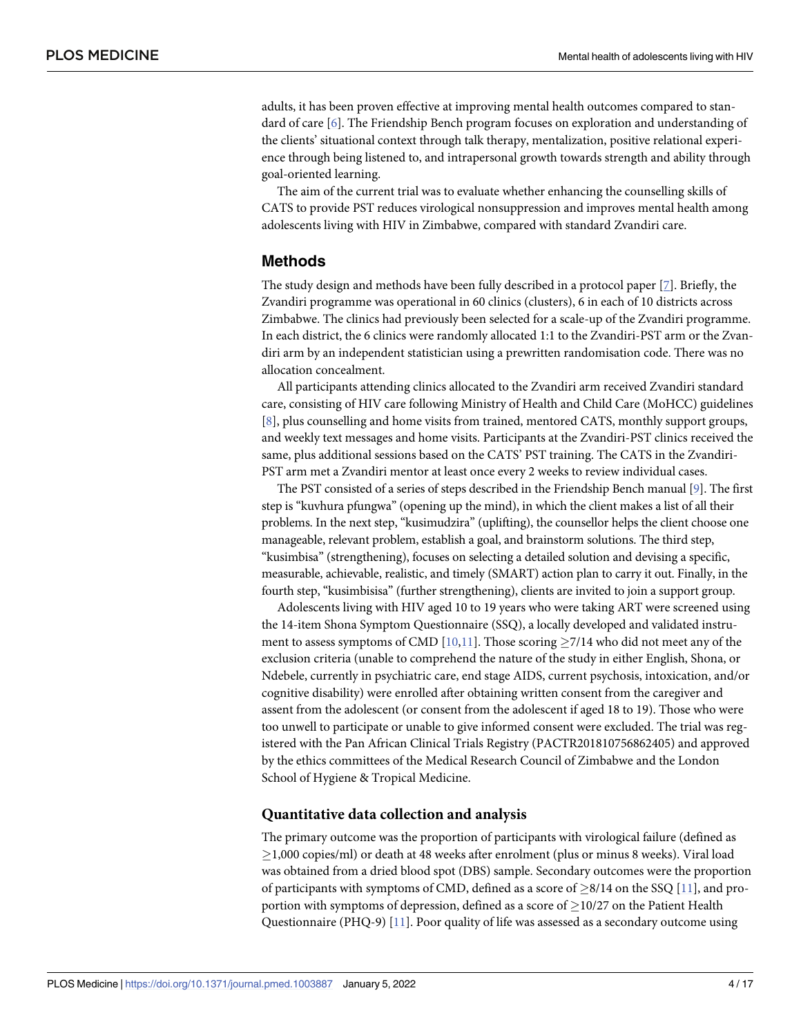<span id="page-3-0"></span>adults, it has been proven effective at improving mental health outcomes compared to standard of care [\[6\]](#page-15-0). The Friendship Bench program focuses on exploration and understanding of the clients' situational context through talk therapy, mentalization, positive relational experience through being listened to, and intrapersonal growth towards strength and ability through goal-oriented learning.

The aim of the current trial was to evaluate whether enhancing the counselling skills of CATS to provide PST reduces virological nonsuppression and improves mental health among adolescents living with HIV in Zimbabwe, compared with standard Zvandiri care.

#### **Methods**

The study design and methods have been fully described in a protocol paper [\[7](#page-15-0)]. Briefly, the Zvandiri programme was operational in 60 clinics (clusters), 6 in each of 10 districts across Zimbabwe. The clinics had previously been selected for a scale-up of the Zvandiri programme. In each district, the 6 clinics were randomly allocated 1:1 to the Zvandiri-PST arm or the Zvandiri arm by an independent statistician using a prewritten randomisation code. There was no allocation concealment.

All participants attending clinics allocated to the Zvandiri arm received Zvandiri standard care, consisting of HIV care following Ministry of Health and Child Care (MoHCC) guidelines [\[8](#page-15-0)], plus counselling and home visits from trained, mentored CATS, monthly support groups, and weekly text messages and home visits. Participants at the Zvandiri-PST clinics received the same, plus additional sessions based on the CATS' PST training. The CATS in the Zvandiri-PST arm met a Zvandiri mentor at least once every 2 weeks to review individual cases.

The PST consisted of a series of steps described in the Friendship Bench manual [\[9\]](#page-15-0). The first step is "kuvhura pfungwa" (opening up the mind), in which the client makes a list of all their problems. In the next step, "kusimudzira" (uplifting), the counsellor helps the client choose one manageable, relevant problem, establish a goal, and brainstorm solutions. The third step, "kusimbisa" (strengthening), focuses on selecting a detailed solution and devising a specific, measurable, achievable, realistic, and timely (SMART) action plan to carry it out. Finally, in the fourth step, "kusimbisisa" (further strengthening), clients are invited to join a support group.

Adolescents living with HIV aged 10 to 19 years who were taking ART were screened using the 14-item Shona Symptom Questionnaire (SSQ), a locally developed and validated instru-ment to assess symptoms of CMD [[10](#page-15-0),[11](#page-15-0)]. Those scoring  $\geq$ 7/14 who did not meet any of the exclusion criteria (unable to comprehend the nature of the study in either English, Shona, or Ndebele, currently in psychiatric care, end stage AIDS, current psychosis, intoxication, and/or cognitive disability) were enrolled after obtaining written consent from the caregiver and assent from the adolescent (or consent from the adolescent if aged 18 to 19). Those who were too unwell to participate or unable to give informed consent were excluded. The trial was registered with the Pan African Clinical Trials Registry (PACTR201810756862405) and approved by the ethics committees of the Medical Research Council of Zimbabwe and the London School of Hygiene & Tropical Medicine.

#### **Quantitative data collection and analysis**

The primary outcome was the proportion of participants with virological failure (defined as �1,000 copies/ml) or death at 48 weeks after enrolment (plus or minus 8 weeks). Viral load was obtained from a dried blood spot (DBS) sample. Secondary outcomes were the proportion of participants with symptoms of CMD, defined as a score of  $\geq 8/14$  on the SSQ [\[11\]](#page-15-0), and proportion with symptoms of depression, defined as a score of  $\geq$  10/27 on the Patient Health Questionnaire (PHQ-9) [[11](#page-15-0)]. Poor quality of life was assessed as a secondary outcome using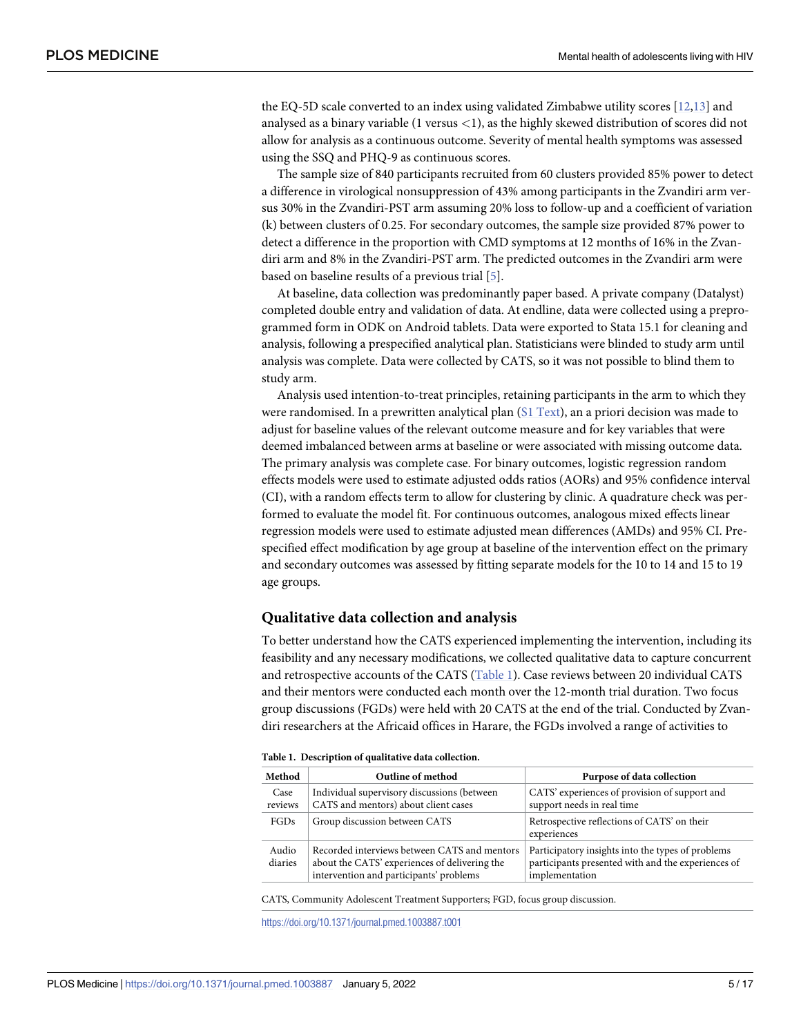<span id="page-4-0"></span>the EQ-5D scale converted to an index using validated Zimbabwe utility scores [\[12,13\]](#page-15-0) and analysed as a binary variable (1 versus *<*1), as the highly skewed distribution of scores did not allow for analysis as a continuous outcome. Severity of mental health symptoms was assessed using the SSQ and PHQ-9 as continuous scores.

The sample size of 840 participants recruited from 60 clusters provided 85% power to detect a difference in virological nonsuppression of 43% among participants in the Zvandiri arm versus 30% in the Zvandiri-PST arm assuming 20% loss to follow-up and a coefficient of variation (k) between clusters of 0.25. For secondary outcomes, the sample size provided 87% power to detect a difference in the proportion with CMD symptoms at 12 months of 16% in the Zvandiri arm and 8% in the Zvandiri-PST arm. The predicted outcomes in the Zvandiri arm were based on baseline results of a previous trial [[5\]](#page-15-0).

At baseline, data collection was predominantly paper based. A private company (Datalyst) completed double entry and validation of data. At endline, data were collected using a preprogrammed form in ODK on Android tablets. Data were exported to Stata 15.1 for cleaning and analysis, following a prespecified analytical plan. Statisticians were blinded to study arm until analysis was complete. Data were collected by CATS, so it was not possible to blind them to study arm.

Analysis used intention-to-treat principles, retaining participants in the arm to which they were randomised. In a prewritten analytical plan (S1 [Text](#page-14-0)), an a priori decision was made to adjust for baseline values of the relevant outcome measure and for key variables that were deemed imbalanced between arms at baseline or were associated with missing outcome data. The primary analysis was complete case. For binary outcomes, logistic regression random effects models were used to estimate adjusted odds ratios (AORs) and 95% confidence interval (CI), with a random effects term to allow for clustering by clinic. A quadrature check was performed to evaluate the model fit. For continuous outcomes, analogous mixed effects linear regression models were used to estimate adjusted mean differences (AMDs) and 95% CI. Prespecified effect modification by age group at baseline of the intervention effect on the primary and secondary outcomes was assessed by fitting separate models for the 10 to 14 and 15 to 19 age groups.

#### **Qualitative data collection and analysis**

To better understand how the CATS experienced implementing the intervention, including its feasibility and any necessary modifications, we collected qualitative data to capture concurrent and retrospective accounts of the CATS (Table 1). Case reviews between 20 individual CATS and their mentors were conducted each month over the 12-month trial duration. Two focus group discussions (FGDs) were held with 20 CATS at the end of the trial. Conducted by Zvandiri researchers at the Africaid offices in Harare, the FGDs involved a range of activities to

| Method           | Outline of method                                                                                                                        | Purpose of data collection                                                                                                |
|------------------|------------------------------------------------------------------------------------------------------------------------------------------|---------------------------------------------------------------------------------------------------------------------------|
| Case<br>reviews  | Individual supervisory discussions (between<br>CATS and mentors) about client cases                                                      | CATS' experiences of provision of support and<br>support needs in real time                                               |
| FGDs             | Group discussion between CATS                                                                                                            | Retrospective reflections of CATS' on their<br>experiences                                                                |
| Audio<br>diaries | Recorded interviews between CATS and mentors<br>about the CATS' experiences of delivering the<br>intervention and participants' problems | Participatory insights into the types of problems<br>participants presented with and the experiences of<br>implementation |

CATS, Community Adolescent Treatment Supporters; FGD, focus group discussion.

<https://doi.org/10.1371/journal.pmed.1003887.t001>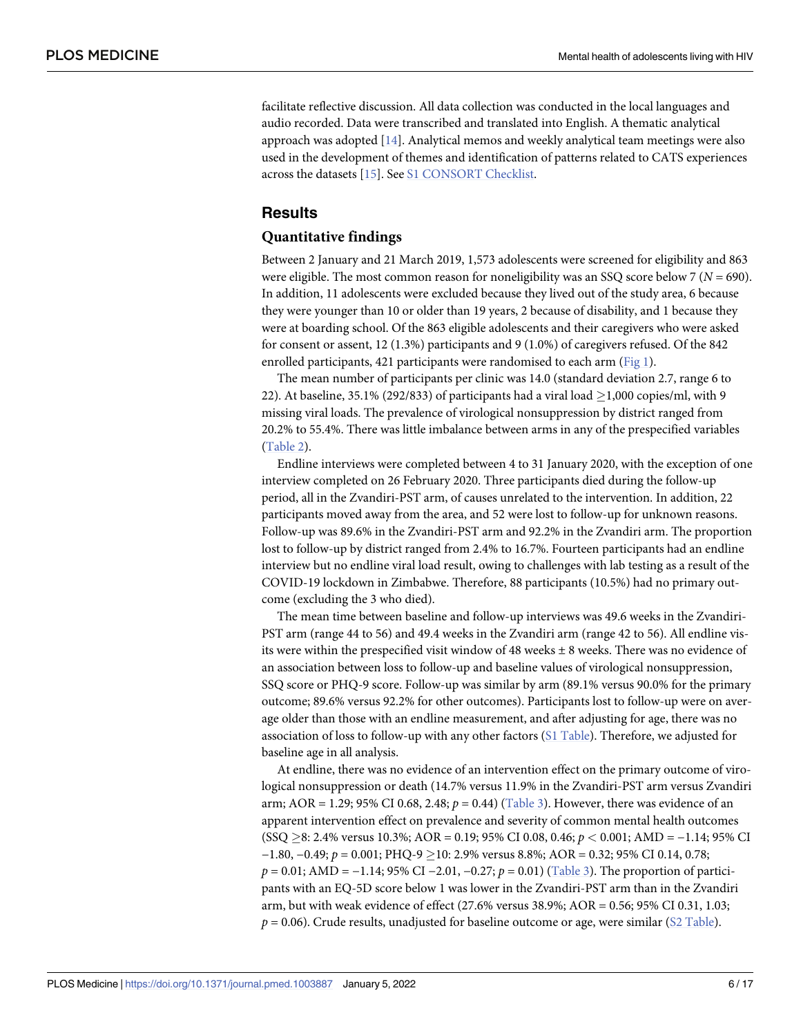<span id="page-5-0"></span>facilitate reflective discussion. All data collection was conducted in the local languages and audio recorded. Data were transcribed and translated into English. A thematic analytical approach was adopted [\[14\]](#page-15-0). Analytical memos and weekly analytical team meetings were also used in the development of themes and identification of patterns related to CATS experiences across the datasets [\[15\]](#page-15-0). See S1 [CONSORT](#page-14-0) Checklist.

#### **Results**

#### **Quantitative findings**

Between 2 January and 21 March 2019, 1,573 adolescents were screened for eligibility and 863 were eligible. The most common reason for noneligibility was an SSQ score below 7 (*N =* 690). In addition, 11 adolescents were excluded because they lived out of the study area, 6 because they were younger than 10 or older than 19 years, 2 because of disability, and 1 because they were at boarding school. Of the 863 eligible adolescents and their caregivers who were asked for consent or assent, 12 (1.3%) participants and 9 (1.0%) of caregivers refused. Of the 842 enrolled participants, 421 participants were randomised to each arm ([Fig](#page-6-0) 1).

The mean number of participants per clinic was 14.0 (standard deviation 2.7, range 6 to 22). At baseline, 35.1% (292/833) of participants had a viral load  $\geq$ 1,000 copies/ml, with 9 missing viral loads. The prevalence of virological nonsuppression by district ranged from 20.2% to 55.4%. There was little imbalance between arms in any of the prespecified variables [\(Table](#page-7-0) 2).

Endline interviews were completed between 4 to 31 January 2020, with the exception of one interview completed on 26 February 2020. Three participants died during the follow-up period, all in the Zvandiri-PST arm, of causes unrelated to the intervention. In addition, 22 participants moved away from the area, and 52 were lost to follow-up for unknown reasons. Follow-up was 89.6% in the Zvandiri-PST arm and 92.2% in the Zvandiri arm. The proportion lost to follow-up by district ranged from 2.4% to 16.7%. Fourteen participants had an endline interview but no endline viral load result, owing to challenges with lab testing as a result of the COVID-19 lockdown in Zimbabwe. Therefore, 88 participants (10.5%) had no primary outcome (excluding the 3 who died).

The mean time between baseline and follow-up interviews was 49.6 weeks in the Zvandiri-PST arm (range 44 to 56) and 49.4 weeks in the Zvandiri arm (range 42 to 56). All endline visits were within the prespecified visit window of 48 weeks  $\pm$  8 weeks. There was no evidence of an association between loss to follow-up and baseline values of virological nonsuppression, SSQ score or PHQ-9 score. Follow-up was similar by arm (89.1% versus 90.0% for the primary outcome; 89.6% versus 92.2% for other outcomes). Participants lost to follow-up were on average older than those with an endline measurement, and after adjusting for age, there was no association of loss to follow-up with any other factors (S1 [Table\)](#page-14-0). Therefore, we adjusted for baseline age in all analysis.

At endline, there was no evidence of an intervention effect on the primary outcome of virological nonsuppression or death (14.7% versus 11.9% in the Zvandiri-PST arm versus Zvandiri arm; AOR = 1.29; 95% CI 0.68, 2.48;  $p = 0.44$ ) [\(Table](#page-8-0) 3). However, there was evidence of an apparent intervention effect on prevalence and severity of common mental health outcomes (SSQ �8: 2.4% versus 10.3%; AOR = 0.19; 95% CI 0.08, 0.46; *p <* 0.001; AMD = −1.14; 95% CI −1.80, −0.49; *p* = 0.001; PHQ-9 �10: 2.9% versus 8.8%; AOR = 0.32; 95% CI 0.14, 0.78; *p* = 0.01; AMD = −1.14; 95% CI −2.01, −0.27; *p* = 0.01) ([Table](#page-8-0) 3). The proportion of participants with an EQ-5D score below 1 was lower in the Zvandiri-PST arm than in the Zvandiri arm, but with weak evidence of effect (27.6% versus 38.9%; AOR = 0.56; 95% CI 0.31, 1.03;  $p = 0.06$ ). Crude results, unadjusted for baseline outcome or age, were similar (S2 [Table](#page-14-0)).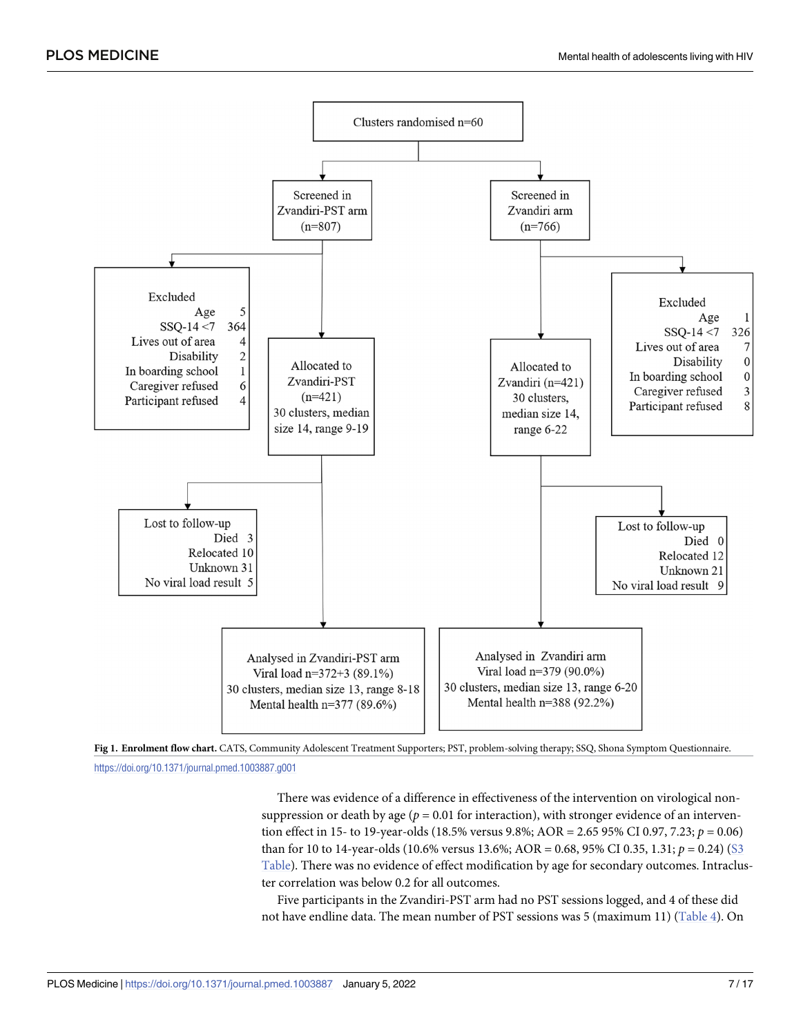<span id="page-6-0"></span>



<https://doi.org/10.1371/journal.pmed.1003887.g001>

There was evidence of a difference in effectiveness of the intervention on virological nonsuppression or death by age ( $p = 0.01$  for interaction), with stronger evidence of an intervention effect in 15- to 19-year-olds (18.5% versus 9.8%; AOR = 2.65 95% CI 0.97, 7.23; *p* = 0.06) than for 10 to 14-year-olds (10.6% versus 13.6%; AOR = 0.68, 95% CI 0.35, 1.31; *p* = 0.24) [\(S3](#page-14-0) [Table](#page-14-0)). There was no evidence of effect modification by age for secondary outcomes. Intracluster correlation was below 0.2 for all outcomes.

Five participants in the Zvandiri-PST arm had no PST sessions logged, and 4 of these did not have endline data. The mean number of PST sessions was 5 (maximum 11) ([Table](#page-8-0) 4). On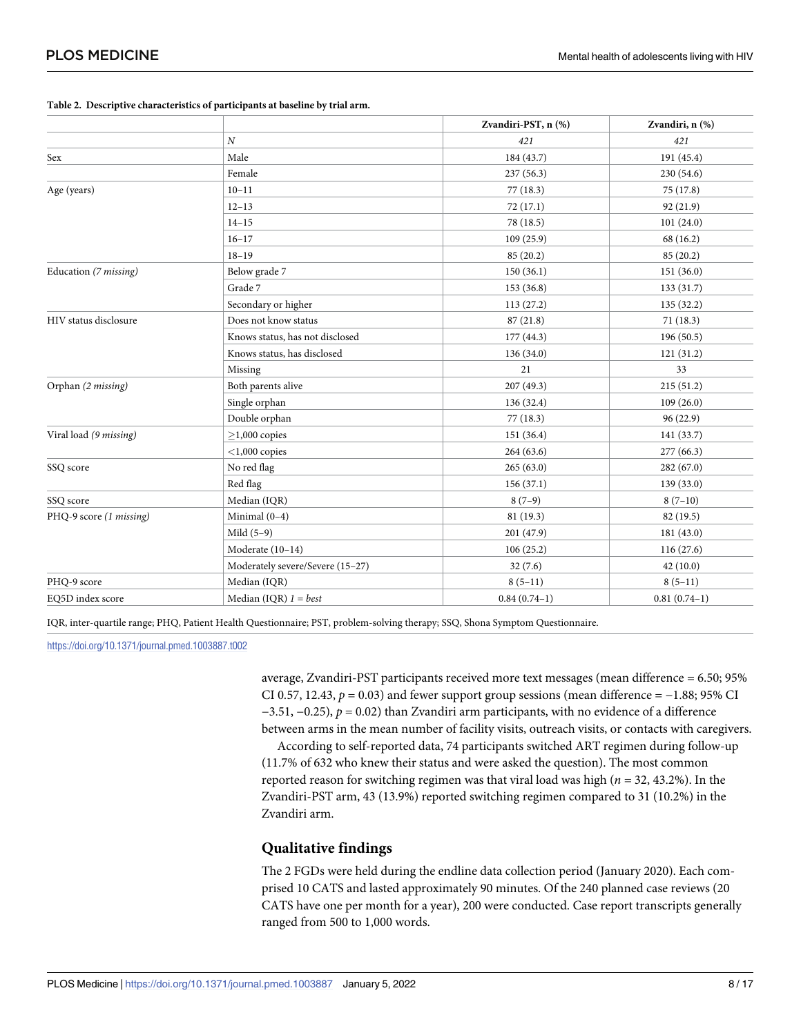|                         |                                  | Zvandiri-PST, n (%) | Zvandiri, n (%) |
|-------------------------|----------------------------------|---------------------|-----------------|
|                         | $\overline{N}$                   | 421                 | 421             |
| Sex                     | Male                             | 184 (43.7)          | 191 (45.4)      |
|                         | Female                           | 237 (56.3)          | 230 (54.6)      |
| Age (years)             | $10 - 11$                        | 77(18.3)            | 75 (17.8)       |
|                         | $12 - 13$                        | 72(17.1)            | 92 (21.9)       |
|                         | $14 - 15$                        | 78 (18.5)           | 101(24.0)       |
|                         | $16 - 17$                        | 109(25.9)           | 68 (16.2)       |
|                         | $18 - 19$                        | 85(20.2)            | 85(20.2)        |
| Education (7 missing)   | Below grade 7                    | 150(36.1)           | 151 (36.0)      |
|                         | Grade 7                          | 153(36.8)           | 133(31.7)       |
|                         | Secondary or higher              | 113(27.2)           | 135(32.2)       |
| HIV status disclosure   | Does not know status             | 87(21.8)            | 71(18.3)        |
|                         | Knows status, has not disclosed  | 177(44.3)           | 196 (50.5)      |
|                         | Knows status, has disclosed      | 136(34.0)           | 121(31.2)       |
|                         | Missing                          | 21                  | 33              |
| Orphan (2 missing)      | Both parents alive               | 207 (49.3)          | 215(51.2)       |
|                         | Single orphan                    | 136(32.4)           | 109(26.0)       |
|                         | Double orphan                    | 77(18.3)            | 96 (22.9)       |
| Viral load (9 missing)  | $>1,000$ copies                  | 151 (36.4)          | 141 (33.7)      |
|                         | $<$ 1,000 copies                 | 264(63.6)           | 277(66.3)       |
| SSQ score               | No red flag                      | 265(63.0)           | 282(67.0)       |
|                         | Red flag                         | 156(37.1)           | 139 (33.0)      |
| SSQ score               | Median (IQR)                     | $8(7-9)$            | $8(7-10)$       |
| PHQ-9 score (1 missing) | Minimal $(0-4)$                  | 81 (19.3)           | 82 (19.5)       |
|                         | Mild $(5-9)$                     | 201 (47.9)          | 181(43.0)       |
|                         | Moderate (10-14)                 | 106(25.2)           | 116(27.6)       |
|                         | Moderately severe/Severe (15-27) | 32(7.6)             | 42(10.0)        |
| PHQ-9 score             | Median (IQR)                     | $8(5-11)$           | $8(5-11)$       |
| EQ5D index score        | Median (IQR) $1 = best$          | $0.84(0.74-1)$      | $0.81(0.74-1)$  |
|                         |                                  |                     |                 |

#### <span id="page-7-0"></span>**[Table](#page-5-0) 2. Descriptive characteristics of participants at baseline by trial arm.**

IQR, inter-quartile range; PHQ, Patient Health Questionnaire; PST, problem-solving therapy; SSQ, Shona Symptom Questionnaire.

<https://doi.org/10.1371/journal.pmed.1003887.t002>

average, Zvandiri-PST participants received more text messages (mean difference = 6.50; 95% CI 0.57, 12.43,  $p = 0.03$ ) and fewer support group sessions (mean difference =  $-1.88$ ; 95% CI −3.51, −0.25), *p* = 0.02) than Zvandiri arm participants, with no evidence of a difference between arms in the mean number of facility visits, outreach visits, or contacts with caregivers.

According to self-reported data, 74 participants switched ART regimen during follow-up (11.7% of 632 who knew their status and were asked the question). The most common reported reason for switching regimen was that viral load was high (*n =* 32, 43.2%). In the Zvandiri-PST arm, 43 (13.9%) reported switching regimen compared to 31 (10.2%) in the Zvandiri arm.

## **Qualitative findings**

The 2 FGDs were held during the endline data collection period (January 2020). Each comprised 10 CATS and lasted approximately 90 minutes. Of the 240 planned case reviews (20 CATS have one per month for a year), 200 were conducted. Case report transcripts generally ranged from 500 to 1,000 words.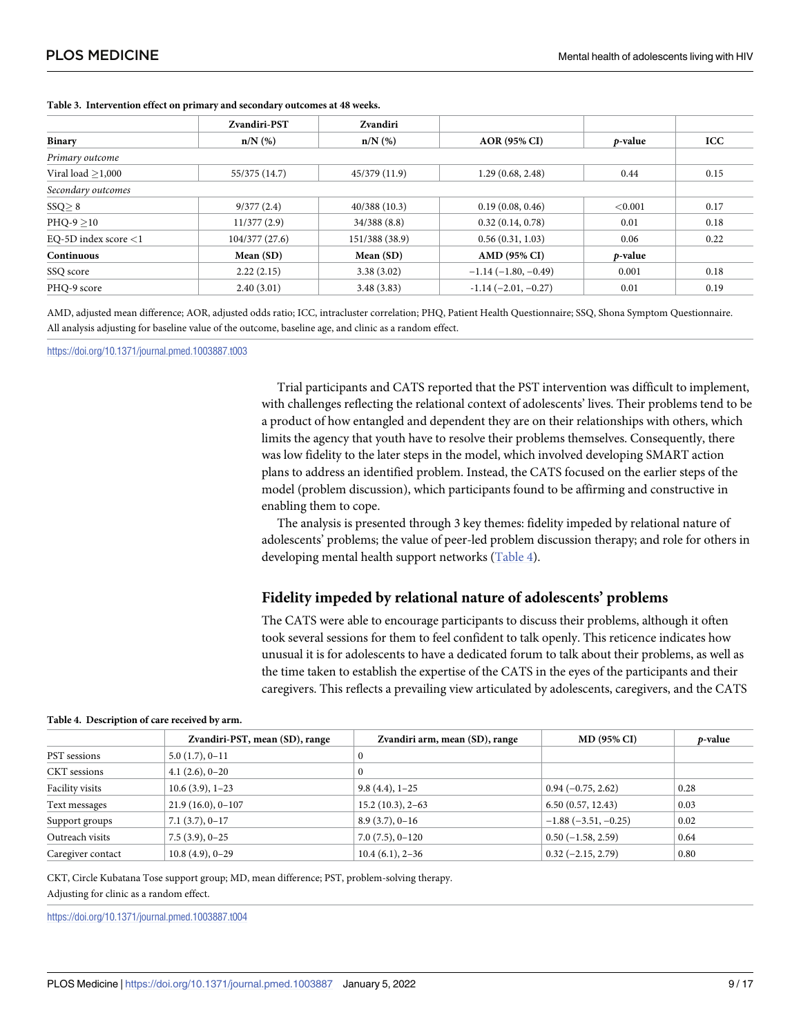|                         | Zvandiri-PST  | <b>Zvandiri</b> |                       |                 |            |
|-------------------------|---------------|-----------------|-----------------------|-----------------|------------|
| <b>Binary</b>           | $n/N$ (%)     | $n/N$ (%)       | <b>AOR (95% CI)</b>   | <i>p</i> -value | <b>ICC</b> |
| Primary outcome         |               |                 |                       |                 |            |
| Viral load $>1,000$     | 55/375 (14.7) | 45/379 (11.9)   | 1.29(0.68, 2.48)      | 0.44            | 0.15       |
| Secondary outcomes      |               |                 |                       |                 |            |
| SSQ > 8                 | 9/377(2.4)    | 40/388(10.3)    | 0.19(0.08, 0.46)      | < 0.001         | 0.17       |
| $PHQ-9 > 10$            | 11/377(2.9)   | 34/388(8.8)     | 0.32(0.14, 0.78)      | 0.01            | 0.18       |
| EQ-5D index score $<$ 1 | 104/377(27.6) | 151/388 (38.9)  | 0.56(0.31, 1.03)      | 0.06            | 0.22       |
| <b>Continuous</b>       | Mean $(SD)$   | Mean (SD)       | AMD (95% CI)          | $p$ -value      |            |
| SSQ score               | 2.22(2.15)    | 3.38(3.02)      | $-1.14(-1.80,-0.49)$  | 0.001           | 0.18       |
| PHQ-9 score             | 2.40(3.01)    | 3.48(3.83)      | $-1.14(-2.01, -0.27)$ | 0.01            | 0.19       |

#### <span id="page-8-0"></span>**[Table](#page-5-0) 3. Intervention effect on primary and secondary outcomes at 48 weeks.**

AMD, adjusted mean difference; AOR, adjusted odds ratio; ICC, intracluster correlation; PHQ, Patient Health Questionnaire; SSQ, Shona Symptom Questionnaire. All analysis adjusting for baseline value of the outcome, baseline age, and clinic as a random effect.

<https://doi.org/10.1371/journal.pmed.1003887.t003>

Trial participants and CATS reported that the PST intervention was difficult to implement, with challenges reflecting the relational context of adolescents' lives. Their problems tend to be a product of how entangled and dependent they are on their relationships with others, which limits the agency that youth have to resolve their problems themselves. Consequently, there was low fidelity to the later steps in the model, which involved developing SMART action plans to address an identified problem. Instead, the CATS focused on the earlier steps of the model (problem discussion), which participants found to be affirming and constructive in enabling them to cope.

The analysis is presented through 3 key themes: fidelity impeded by relational nature of adolescents' problems; the value of peer-led problem discussion therapy; and role for others in developing mental health support networks (Table 4).

#### **Fidelity impeded by relational nature of adolescents' problems**

The CATS were able to encourage participants to discuss their problems, although it often took several sessions for them to feel confident to talk openly. This reticence indicates how unusual it is for adolescents to have a dedicated forum to talk about their problems, as well as the time taken to establish the expertise of the CATS in the eyes of the participants and their caregivers. This reflects a prevailing view articulated by adolescents, caregivers, and the CATS

|                   | Zvandiri-PST, mean (SD), range | Zvandiri arm, mean (SD), range | <b>MD (95% CI)</b>   | <i>p</i> -value |
|-------------------|--------------------------------|--------------------------------|----------------------|-----------------|
| PST sessions      | $5.0(1.7), 0-11$               |                                |                      |                 |
| CKT sessions      | $4.1(2.6), 0-20$               |                                |                      |                 |
| Facility visits   | $10.6(3.9), 1-23$              | $9.8(4.4), 1-25$               | $0.94(-0.75, 2.62)$  | 0.28            |
| Text messages     | $21.9(16.0), 0-107$            | $15.2(10.3), 2-63$             | 6.50(0.57, 12.43)    | 0.03            |
| Support groups    | $7.1(3.7), 0-17$               | $8.9(3.7), 0-16$               | $-1.88(-3.51,-0.25)$ | 0.02            |
| Outreach visits   | $7.5(3.9), 0-25$               | $7.0(7.5), 0-120$              | $0.50(-1.58, 2.59)$  | 0.64            |
| Caregiver contact | $10.8(4.9), 0-29$              | $10.4(6.1), 2-36$              | $0.32(-2.15, 2.79)$  | 0.80            |

#### **[Table](#page-6-0) 4. Description of care received by arm.**

CKT, Circle Kubatana Tose support group; *MD*, mean difference; *PST*, problem-solving therapy. Adjusting for clinic as a random effect.

<https://doi.org/10.1371/journal.pmed.1003887.t004>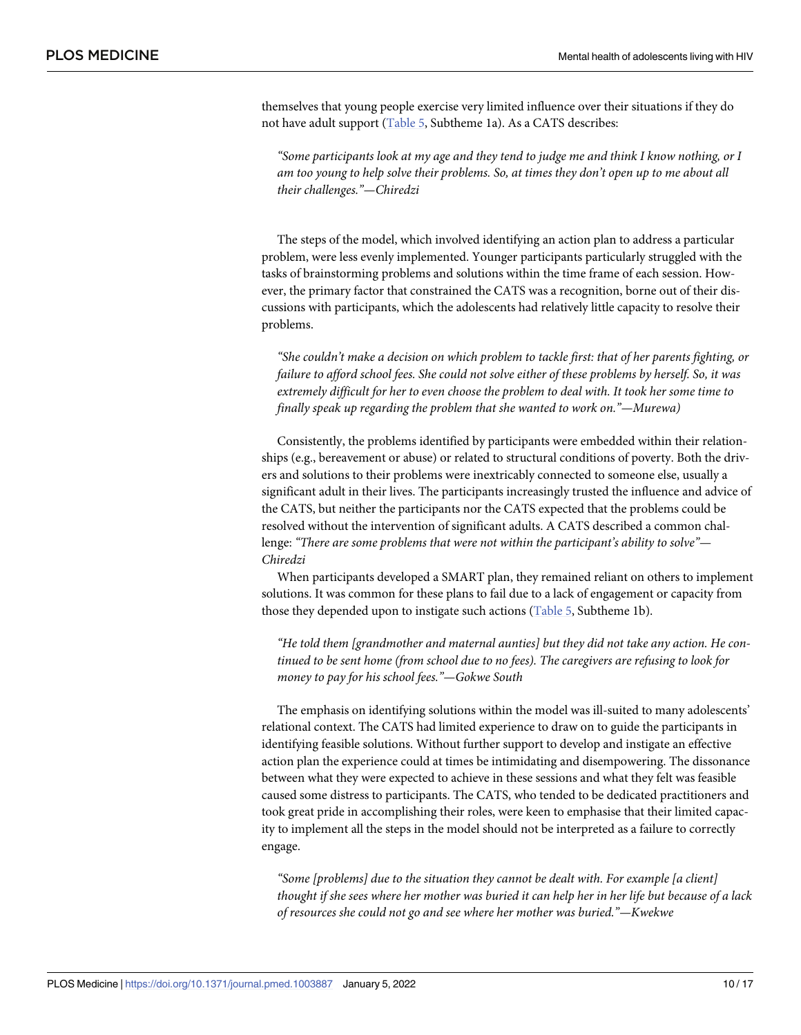<span id="page-9-0"></span>themselves that young people exercise very limited influence over their situations if they do not have adult support [\(Table](#page-10-0) 5, Subtheme 1a). As a CATS describes:

*"Some participants look at my age and they tend to judge me and think I know nothing, or I am too young to help solve their problems. So, at times they don't open up to me about all their challenges."—Chiredzi*

The steps of the model, which involved identifying an action plan to address a particular problem, were less evenly implemented. Younger participants particularly struggled with the tasks of brainstorming problems and solutions within the time frame of each session. However, the primary factor that constrained the CATS was a recognition, borne out of their discussions with participants, which the adolescents had relatively little capacity to resolve their problems.

*"She couldn't make a decision on which problem to tackle first: that of her parents fighting, or failure to afford school fees. She could not solve either of these problems by herself. So, it was extremely difficult for her to even choose the problem to deal with. It took her some time to finally speak up regarding the problem that she wanted to work on."—Murewa)*

Consistently, the problems identified by participants were embedded within their relationships (e.g., bereavement or abuse) or related to structural conditions of poverty. Both the drivers and solutions to their problems were inextricably connected to someone else, usually a significant adult in their lives. The participants increasingly trusted the influence and advice of the CATS, but neither the participants nor the CATS expected that the problems could be resolved without the intervention of significant adults. A CATS described a common challenge: *"There are some problems that were not within the participant's ability to solve"*— *Chiredzi*

When participants developed a SMART plan, they remained reliant on others to implement solutions. It was common for these plans to fail due to a lack of engagement or capacity from those they depended upon to instigate such actions ([Table](#page-10-0) 5, Subtheme 1b).

*"He told them [grandmother and maternal aunties] but they did not take any action. He continued to be sent home (from school due to no fees). The caregivers are refusing to look for money to pay for his school fees."—Gokwe South*

The emphasis on identifying solutions within the model was ill-suited to many adolescents' relational context. The CATS had limited experience to draw on to guide the participants in identifying feasible solutions. Without further support to develop and instigate an effective action plan the experience could at times be intimidating and disempowering. The dissonance between what they were expected to achieve in these sessions and what they felt was feasible caused some distress to participants. The CATS, who tended to be dedicated practitioners and took great pride in accomplishing their roles, were keen to emphasise that their limited capacity to implement all the steps in the model should not be interpreted as a failure to correctly engage.

*"Some [problems] due to the situation they cannot be dealt with. For example [a client]* thought if she sees where her mother was buried it can help her in her life but because of a lack *of resources she could not go and see where her mother was buried."—Kwekwe*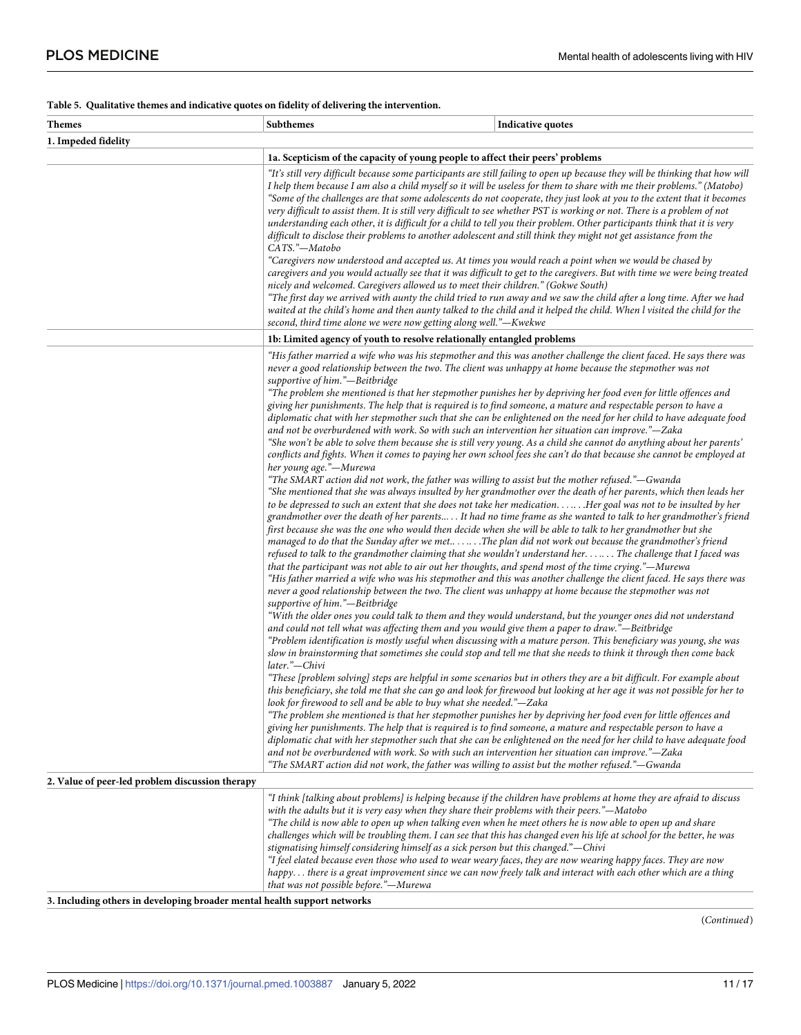#### <span id="page-10-0"></span>**[Table](#page-9-0) 5. Qualitative themes and indicative quotes on fidelity of delivering the intervention.**

| <b>Themes</b>                                                            | Subthemes                                                                                                                                                                                                                                                                                                     | Indicative quotes                                                                                                                                                                                                                                                                                                                                                                                                                                                                                                                                                                                                                                                                                                                                                                                                                                                                                                                                                                                                                                                                                                                                                                                                                                                                                                                                                                                                                                                                                                                                                                                                                                                                                                                                                                                                                                                                                                                                                                                                                                                                                                                                                                                                                                                                                                                                                                                                                                                                                                                                                                                                                                                                                                                                                                                                                                                                                                                                                                                                                                                                                                                                                                                                                                                                                                                                                                                                                                                                                                                                                                                                                                                                                                                                      |  |
|--------------------------------------------------------------------------|---------------------------------------------------------------------------------------------------------------------------------------------------------------------------------------------------------------------------------------------------------------------------------------------------------------|--------------------------------------------------------------------------------------------------------------------------------------------------------------------------------------------------------------------------------------------------------------------------------------------------------------------------------------------------------------------------------------------------------------------------------------------------------------------------------------------------------------------------------------------------------------------------------------------------------------------------------------------------------------------------------------------------------------------------------------------------------------------------------------------------------------------------------------------------------------------------------------------------------------------------------------------------------------------------------------------------------------------------------------------------------------------------------------------------------------------------------------------------------------------------------------------------------------------------------------------------------------------------------------------------------------------------------------------------------------------------------------------------------------------------------------------------------------------------------------------------------------------------------------------------------------------------------------------------------------------------------------------------------------------------------------------------------------------------------------------------------------------------------------------------------------------------------------------------------------------------------------------------------------------------------------------------------------------------------------------------------------------------------------------------------------------------------------------------------------------------------------------------------------------------------------------------------------------------------------------------------------------------------------------------------------------------------------------------------------------------------------------------------------------------------------------------------------------------------------------------------------------------------------------------------------------------------------------------------------------------------------------------------------------------------------------------------------------------------------------------------------------------------------------------------------------------------------------------------------------------------------------------------------------------------------------------------------------------------------------------------------------------------------------------------------------------------------------------------------------------------------------------------------------------------------------------------------------------------------------------------------------------------------------------------------------------------------------------------------------------------------------------------------------------------------------------------------------------------------------------------------------------------------------------------------------------------------------------------------------------------------------------------------------------------------------------------------------------------------------------------|--|
| 1. Impeded fidelity                                                      |                                                                                                                                                                                                                                                                                                               |                                                                                                                                                                                                                                                                                                                                                                                                                                                                                                                                                                                                                                                                                                                                                                                                                                                                                                                                                                                                                                                                                                                                                                                                                                                                                                                                                                                                                                                                                                                                                                                                                                                                                                                                                                                                                                                                                                                                                                                                                                                                                                                                                                                                                                                                                                                                                                                                                                                                                                                                                                                                                                                                                                                                                                                                                                                                                                                                                                                                                                                                                                                                                                                                                                                                                                                                                                                                                                                                                                                                                                                                                                                                                                                                                        |  |
|                                                                          | 1a. Scepticism of the capacity of young people to affect their peers' problems                                                                                                                                                                                                                                |                                                                                                                                                                                                                                                                                                                                                                                                                                                                                                                                                                                                                                                                                                                                                                                                                                                                                                                                                                                                                                                                                                                                                                                                                                                                                                                                                                                                                                                                                                                                                                                                                                                                                                                                                                                                                                                                                                                                                                                                                                                                                                                                                                                                                                                                                                                                                                                                                                                                                                                                                                                                                                                                                                                                                                                                                                                                                                                                                                                                                                                                                                                                                                                                                                                                                                                                                                                                                                                                                                                                                                                                                                                                                                                                                        |  |
|                                                                          | CATS."-Matobo<br>second, third time alone we were now getting along well."—Kwekwe                                                                                                                                                                                                                             | "It's still very difficult because some participants are still failing to open up because they will be thinking that how will<br>I help them because I am also a child myself so it will be useless for them to share with me their problems." (Matobo)<br>"Some of the challenges are that some adolescents do not cooperate, they just look at you to the extent that it becomes<br>very difficult to assist them. It is still very difficult to see whether PST is working or not. There is a problem of not<br>understanding each other, it is difficult for a child to tell you their problem. Other participants think that it is very<br>difficult to disclose their problems to another adolescent and still think they might not get assistance from the<br>"Caregivers now understood and accepted us. At times you would reach a point when we would be chased by<br>caregivers and you would actually see that it was difficult to get to the caregivers. But with time we were being treated<br>nicely and welcomed. Caregivers allowed us to meet their children." (Gokwe South)<br>"The first day we arrived with aunty the child tried to run away and we saw the child after a long time. After we had<br>waited at the child's home and then aunty talked to the child and it helped the child. When I visited the child for the                                                                                                                                                                                                                                                                                                                                                                                                                                                                                                                                                                                                                                                                                                                                                                                                                                                                                                                                                                                                                                                                                                                                                                                                                                                                                                                                                                                                                                                                                                                                                                                                                                                                                                                                                                                                                                                                                                                                                                                                                                                                                                                                                                                                                                                                                                                                                                                                     |  |
|                                                                          | 1b: Limited agency of youth to resolve relationally entangled problems                                                                                                                                                                                                                                        |                                                                                                                                                                                                                                                                                                                                                                                                                                                                                                                                                                                                                                                                                                                                                                                                                                                                                                                                                                                                                                                                                                                                                                                                                                                                                                                                                                                                                                                                                                                                                                                                                                                                                                                                                                                                                                                                                                                                                                                                                                                                                                                                                                                                                                                                                                                                                                                                                                                                                                                                                                                                                                                                                                                                                                                                                                                                                                                                                                                                                                                                                                                                                                                                                                                                                                                                                                                                                                                                                                                                                                                                                                                                                                                                                        |  |
| 2. Value of peer-led problem discussion therapy                          | supportive of him."-Beitbridge<br>her young age."-Murewa<br>supportive of him."-Beitbridge<br>later."-Chivi<br>look for firewood to sell and be able to buy what she needed."—Zaka<br>challenges which will be troubling them. I can see that this has changed even his life at school for the better, he was | "His father married a wife who was his stepmother and this was another challenge the client faced. He says there was<br>never a good relationship between the two. The client was unhappy at home because the stepmother was not<br>"The problem she mentioned is that her stepmother punishes her by depriving her food even for little offences and<br>giving her punishments. The help that is required is to find someone, a mature and respectable person to have a<br>diplomatic chat with her stepmother such that she can be enlightened on the need for her child to have adequate food<br>and not be overburdened with work. So with such an intervention her situation can improve."—Zaka<br>"She won't be able to solve them because she is still very young. As a child she cannot do anything about her parents'<br>conflicts and fights. When it comes to paying her own school fees she can't do that because she cannot be employed at<br>"The SMART action did not work, the father was willing to assist but the mother refused."-Gwanda<br>"She mentioned that she was always insulted by her grandmother over the death of her parents, which then leads her<br>to be depressed to such an extent that she does not take her medication. Her goal was not to be insulted by her<br>grandmother over the death of her parents It had no time frame as she wanted to talk to her grandmother's friend<br>first because she was the one who would then decide when she will be able to talk to her grandmother but she<br>managed to do that the Sunday after we met The plan did not work out because the grandmother's friend<br>refused to talk to the grandmother claiming that she wouldn't understand her.  The challenge that I faced was<br>that the participant was not able to air out her thoughts, and spend most of the time crying."—Murewa<br>"His father married a wife who was his stepmother and this was another challenge the client faced. He says there was<br>never a good relationship between the two. The client was unhappy at home because the stepmother was not<br>"With the older ones you could talk to them and they would understand, but the younger ones did not understand<br>and could not tell what was affecting them and you would give them a paper to draw."—Beitbridge<br>"Problem identification is mostly useful when discussing with a mature person. This beneficiary was young, she was<br>slow in brainstorming that sometimes she could stop and tell me that she needs to think it through then come back<br>"These [problem solving] steps are helpful in some scenarios but in others they are a bit difficult. For example about<br>this beneficiary, she told me that she can go and look for firewood but looking at her age it was not possible for her to<br>"The problem she mentioned is that her stepmother punishes her by depriving her food even for little offences and<br>giving her punishments. The help that is required is to find someone, a mature and respectable person to have a<br>diplomatic chat with her stepmother such that she can be enlightened on the need for her child to have adequate food<br>and not be overburdened with work. So with such an intervention her situation can improve."-Zaka<br>"The SMART action did not work, the father was willing to assist but the mother refused."—Gwanda<br>"I think [talking about problems] is helping because if the children have problems at home they are afraid to discuss<br>with the adults but it is very easy when they share their problems with their peers."-Matobo<br>"The child is now able to open up when talking even when he meet others he is now able to open up and share |  |
|                                                                          | stigmatising himself considering himself as a sick person but this changed."—Chivi<br>that was not possible before."-Murewa                                                                                                                                                                                   | "I feel elated because even those who used to wear weary faces, they are now wearing happy faces. They are now<br>happy there is a great improvement since we can now freely talk and interact with each other which are a thing                                                                                                                                                                                                                                                                                                                                                                                                                                                                                                                                                                                                                                                                                                                                                                                                                                                                                                                                                                                                                                                                                                                                                                                                                                                                                                                                                                                                                                                                                                                                                                                                                                                                                                                                                                                                                                                                                                                                                                                                                                                                                                                                                                                                                                                                                                                                                                                                                                                                                                                                                                                                                                                                                                                                                                                                                                                                                                                                                                                                                                                                                                                                                                                                                                                                                                                                                                                                                                                                                                                       |  |
| 3. Including others in developing broader mental health support networks |                                                                                                                                                                                                                                                                                                               |                                                                                                                                                                                                                                                                                                                                                                                                                                                                                                                                                                                                                                                                                                                                                                                                                                                                                                                                                                                                                                                                                                                                                                                                                                                                                                                                                                                                                                                                                                                                                                                                                                                                                                                                                                                                                                                                                                                                                                                                                                                                                                                                                                                                                                                                                                                                                                                                                                                                                                                                                                                                                                                                                                                                                                                                                                                                                                                                                                                                                                                                                                                                                                                                                                                                                                                                                                                                                                                                                                                                                                                                                                                                                                                                                        |  |

(*Continued*)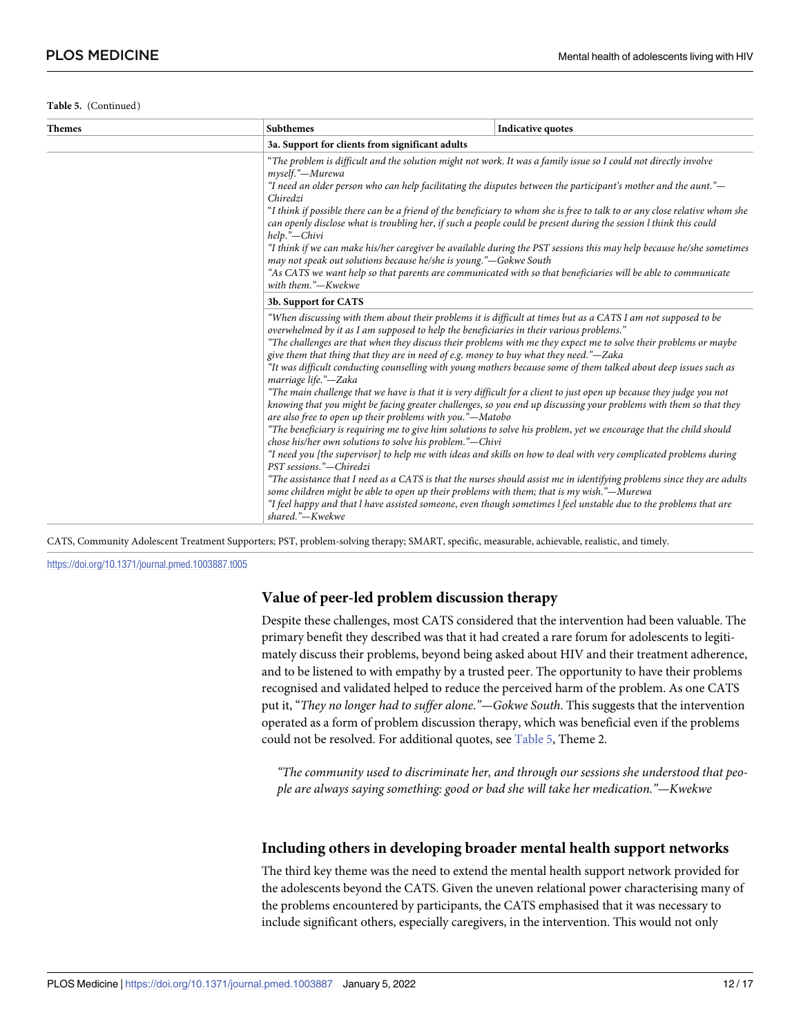**Table 5.** (Continued)

| <b>Themes</b>                                                                                                                                                                                                                                                                                                                                                                                                                                                                                                                                                                                                                                                                                                                                                                                                                                                                | Subthemes                                                                                                                                                                                                                                                                                                                                                                                                                                                                                                                                                                                                                                                                                                                                                                                                                                                                                                                                                                                                                                                                                                                                                                                                                                                                                                                                                                                                                                                                                                                                                                              | <b>Indicative quotes</b> |  |
|------------------------------------------------------------------------------------------------------------------------------------------------------------------------------------------------------------------------------------------------------------------------------------------------------------------------------------------------------------------------------------------------------------------------------------------------------------------------------------------------------------------------------------------------------------------------------------------------------------------------------------------------------------------------------------------------------------------------------------------------------------------------------------------------------------------------------------------------------------------------------|----------------------------------------------------------------------------------------------------------------------------------------------------------------------------------------------------------------------------------------------------------------------------------------------------------------------------------------------------------------------------------------------------------------------------------------------------------------------------------------------------------------------------------------------------------------------------------------------------------------------------------------------------------------------------------------------------------------------------------------------------------------------------------------------------------------------------------------------------------------------------------------------------------------------------------------------------------------------------------------------------------------------------------------------------------------------------------------------------------------------------------------------------------------------------------------------------------------------------------------------------------------------------------------------------------------------------------------------------------------------------------------------------------------------------------------------------------------------------------------------------------------------------------------------------------------------------------------|--------------------------|--|
|                                                                                                                                                                                                                                                                                                                                                                                                                                                                                                                                                                                                                                                                                                                                                                                                                                                                              | 3a. Support for clients from significant adults                                                                                                                                                                                                                                                                                                                                                                                                                                                                                                                                                                                                                                                                                                                                                                                                                                                                                                                                                                                                                                                                                                                                                                                                                                                                                                                                                                                                                                                                                                                                        |                          |  |
| "The problem is difficult and the solution might not work. It was a family issue so I could not directly involve<br>myself."—Murewa<br>"I need an older person who can help facilitating the disputes between the participant's mother and the aunt."—<br>Chiredzi<br>"I think if possible there can be a friend of the beneficiary to whom she is free to talk to or any close relative whom she<br>can openly disclose what is troubling her, if such a people could be present during the session I think this could<br>help."-Chivi<br>"I think if we can make his/her caregiver be available during the PST sessions this may help because he/she sometimes<br>may not speak out solutions because he/she is young."—Gokwe South<br>"As CATS we want help so that parents are communicated with so that beneficiaries will be able to communicate<br>with them."-Kwekwe |                                                                                                                                                                                                                                                                                                                                                                                                                                                                                                                                                                                                                                                                                                                                                                                                                                                                                                                                                                                                                                                                                                                                                                                                                                                                                                                                                                                                                                                                                                                                                                                        |                          |  |
|                                                                                                                                                                                                                                                                                                                                                                                                                                                                                                                                                                                                                                                                                                                                                                                                                                                                              | 3b. Support for CATS                                                                                                                                                                                                                                                                                                                                                                                                                                                                                                                                                                                                                                                                                                                                                                                                                                                                                                                                                                                                                                                                                                                                                                                                                                                                                                                                                                                                                                                                                                                                                                   |                          |  |
|                                                                                                                                                                                                                                                                                                                                                                                                                                                                                                                                                                                                                                                                                                                                                                                                                                                                              | "When discussing with them about their problems it is difficult at times but as a CATS I am not supposed to be<br>overwhelmed by it as I am supposed to help the beneficiaries in their various problems."<br>"The challenges are that when they discuss their problems with me they expect me to solve their problems or maybe<br>give them that thing that they are in need of e.g. money to buy what they need."—Zaka<br>"It was difficult conducting counselling with young mothers because some of them talked about deep issues such as<br>marriage life."-Zaka<br>"The main challenge that we have is that it is very difficult for a client to just open up because they judge you not<br>knowing that you might be facing greater challenges, so you end up discussing your problems with them so that they<br>are also free to open up their problems with you."—Matobo<br>"The beneficiary is requiring me to give him solutions to solve his problem, yet we encourage that the child should<br>chose his/her own solutions to solve his problem."-Chivi<br>"I need you [the supervisor] to help me with ideas and skills on how to deal with very complicated problems during<br>PST sessions."-Chiredzi<br>"The assistance that I need as a CATS is that the nurses should assist me in identifying problems since they are adults<br>some children might be able to open up their problems with them; that is my wish."—Murewa<br>"I feel happy and that l have assisted someone, even though sometimes l feel unstable due to the problems that are<br>shared."-Kwekwe |                          |  |

CATS, Community Adolescent Treatment Supporters; PST, problem-solving therapy; SMART, specific, measurable, achievable, realistic, and timely.

<https://doi.org/10.1371/journal.pmed.1003887.t005>

#### **Value of peer-led problem discussion therapy**

Despite these challenges, most CATS considered that the intervention had been valuable. The primary benefit they described was that it had created a rare forum for adolescents to legitimately discuss their problems, beyond being asked about HIV and their treatment adherence, and to be listened to with empathy by a trusted peer. The opportunity to have their problems recognised and validated helped to reduce the perceived harm of the problem. As one CATS put it, "*They no longer had to suffer alone*.*"—Gokwe South*. This suggests that the intervention operated as a form of problem discussion therapy, which was beneficial even if the problems could not be resolved. For additional quotes, see [Table](#page-10-0) 5, Theme 2.

*"The community used to discriminate her, and through our sessions she understood that people are always saying something: good or bad she will take her medication."—Kwekwe*

#### **Including others in developing broader mental health support networks**

The third key theme was the need to extend the mental health support network provided for the adolescents beyond the CATS. Given the uneven relational power characterising many of the problems encountered by participants, the CATS emphasised that it was necessary to include significant others, especially caregivers, in the intervention. This would not only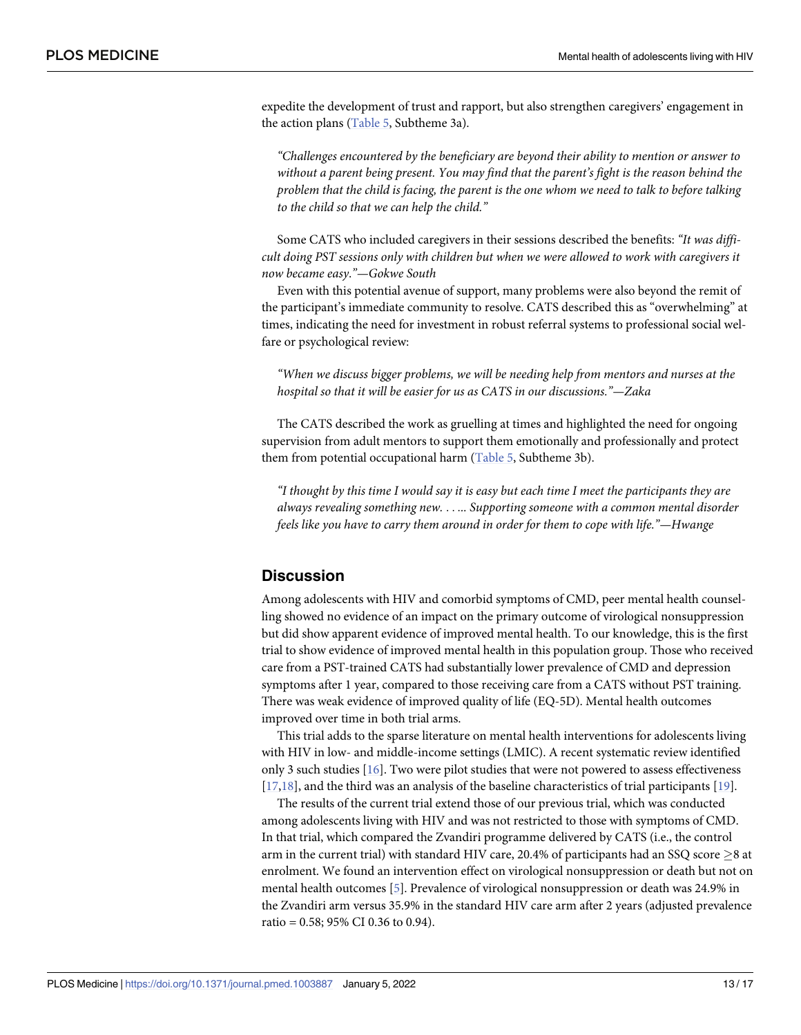<span id="page-12-0"></span>expedite the development of trust and rapport, but also strengthen caregivers' engagement in the action plans [\(Table](#page-10-0) 5, Subtheme 3a).

*"Challenges encountered by the beneficiary are beyond their ability to mention or answer to without a parent being present. You may find that the parent's fight is the reason behind the* problem that the child is facing, the parent is the one whom we need to talk to before talking *to the child so that we can help the child."*

Some CATS who included caregivers in their sessions described the benefits: *"It was difficult doing PST sessions only with children but when we were allowed to work with caregivers it now became easy*.*"—Gokwe South*

Even with this potential avenue of support, many problems were also beyond the remit of the participant's immediate community to resolve. CATS described this as "overwhelming" at times, indicating the need for investment in robust referral systems to professional social welfare or psychological review:

*"When we discuss bigger problems, we will be needing help from mentors and nurses at the hospital so that it will be easier for us as CATS in our discussions."—Zaka*

The CATS described the work as gruelling at times and highlighted the need for ongoing supervision from adult mentors to support them emotionally and professionally and protect them from potential occupational harm [\(Table](#page-10-0) 5, Subtheme 3b).

"I thought by this time I would say it is easy but each time I meet the participants they are *always revealing something new.* . . .*.. Supporting someone with a common mental disorder feels like you have to carry them around in order for them to cope with life."—Hwange*

#### **Discussion**

Among adolescents with HIV and comorbid symptoms of CMD, peer mental health counselling showed no evidence of an impact on the primary outcome of virological nonsuppression but did show apparent evidence of improved mental health. To our knowledge, this is the first trial to show evidence of improved mental health in this population group. Those who received care from a PST-trained CATS had substantially lower prevalence of CMD and depression symptoms after 1 year, compared to those receiving care from a CATS without PST training. There was weak evidence of improved quality of life (EQ-5D). Mental health outcomes improved over time in both trial arms.

This trial adds to the sparse literature on mental health interventions for adolescents living with HIV in low- and middle-income settings (LMIC). A recent systematic review identified only 3 such studies [[16](#page-15-0)]. Two were pilot studies that were not powered to assess effectiveness [\[17,18\]](#page-15-0), and the third was an analysis of the baseline characteristics of trial participants [[19](#page-15-0)].

The results of the current trial extend those of our previous trial, which was conducted among adolescents living with HIV and was not restricted to those with symptoms of CMD. In that trial, which compared the Zvandiri programme delivered by CATS (i.e., the control arm in the current trial) with standard HIV care, 20.4% of participants had an SSQ score  $\geq$ 8 at enrolment. We found an intervention effect on virological nonsuppression or death but not on mental health outcomes [\[5\]](#page-15-0). Prevalence of virological nonsuppression or death was 24.9% in the Zvandiri arm versus 35.9% in the standard HIV care arm after 2 years (adjusted prevalence ratio = 0.58; 95% CI 0.36 to 0.94).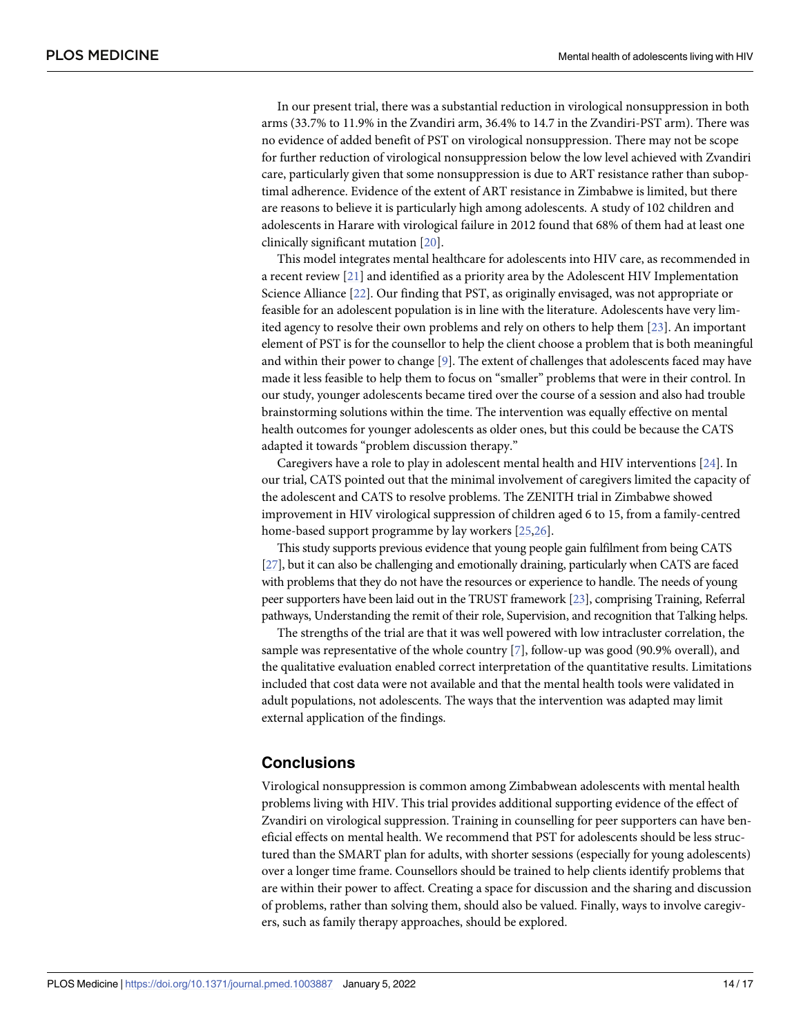<span id="page-13-0"></span>In our present trial, there was a substantial reduction in virological nonsuppression in both arms (33.7% to 11.9% in the Zvandiri arm, 36.4% to 14.7 in the Zvandiri-PST arm). There was no evidence of added benefit of PST on virological nonsuppression. There may not be scope for further reduction of virological nonsuppression below the low level achieved with Zvandiri care, particularly given that some nonsuppression is due to ART resistance rather than suboptimal adherence. Evidence of the extent of ART resistance in Zimbabwe is limited, but there are reasons to believe it is particularly high among adolescents. A study of 102 children and adolescents in Harare with virological failure in 2012 found that 68% of them had at least one clinically significant mutation [\[20\]](#page-15-0).

This model integrates mental healthcare for adolescents into HIV care, as recommended in a recent review [\[21\]](#page-15-0) and identified as a priority area by the Adolescent HIV Implementation Science Alliance [\[22\]](#page-15-0). Our finding that PST, as originally envisaged, was not appropriate or feasible for an adolescent population is in line with the literature. Adolescents have very limited agency to resolve their own problems and rely on others to help them [\[23\]](#page-15-0). An important element of PST is for the counsellor to help the client choose a problem that is both meaningful and within their power to change [[9\]](#page-15-0). The extent of challenges that adolescents faced may have made it less feasible to help them to focus on "smaller" problems that were in their control. In our study, younger adolescents became tired over the course of a session and also had trouble brainstorming solutions within the time. The intervention was equally effective on mental health outcomes for younger adolescents as older ones, but this could be because the CATS adapted it towards "problem discussion therapy."

Caregivers have a role to play in adolescent mental health and HIV interventions [[24](#page-16-0)]. In our trial, CATS pointed out that the minimal involvement of caregivers limited the capacity of the adolescent and CATS to resolve problems. The ZENITH trial in Zimbabwe showed improvement in HIV virological suppression of children aged 6 to 15, from a family-centred home-based support programme by lay workers [[25](#page-16-0),[26](#page-16-0)].

This study supports previous evidence that young people gain fulfilment from being CATS [\[27](#page-16-0)], but it can also be challenging and emotionally draining, particularly when CATS are faced with problems that they do not have the resources or experience to handle. The needs of young peer supporters have been laid out in the TRUST framework [\[23](#page-15-0)], comprising Training, Referral pathways, Understanding the remit of their role, Supervision, and recognition that Talking helps.

The strengths of the trial are that it was well powered with low intracluster correlation, the sample was representative of the whole country [\[7](#page-15-0)], follow-up was good (90.9% overall), and the qualitative evaluation enabled correct interpretation of the quantitative results. Limitations included that cost data were not available and that the mental health tools were validated in adult populations, not adolescents. The ways that the intervention was adapted may limit external application of the findings.

#### **Conclusions**

Virological nonsuppression is common among Zimbabwean adolescents with mental health problems living with HIV. This trial provides additional supporting evidence of the effect of Zvandiri on virological suppression. Training in counselling for peer supporters can have beneficial effects on mental health. We recommend that PST for adolescents should be less structured than the SMART plan for adults, with shorter sessions (especially for young adolescents) over a longer time frame. Counsellors should be trained to help clients identify problems that are within their power to affect. Creating a space for discussion and the sharing and discussion of problems, rather than solving them, should also be valued. Finally, ways to involve caregivers, such as family therapy approaches, should be explored.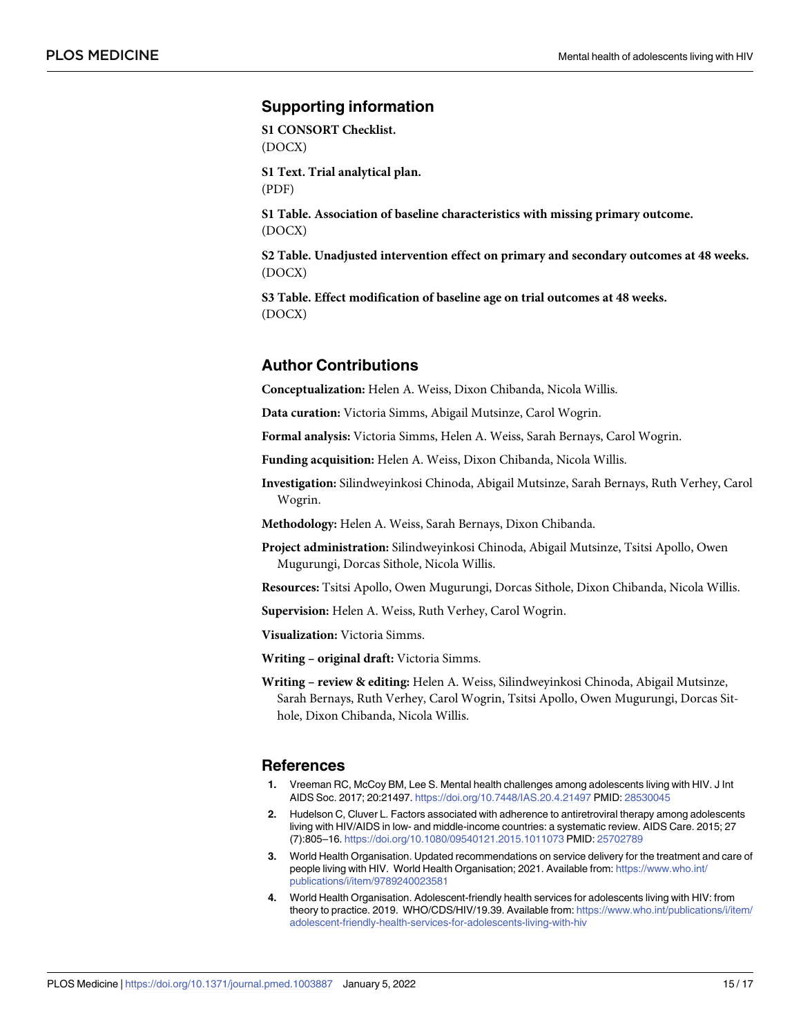#### <span id="page-14-0"></span>**Supporting information**

**S1 [CONSORT](http://journals.plos.org/plosmedicine/article/asset?unique&id=info:doi/10.1371/journal.pmed.1003887.s001) Checklist.** (DOCX)

**S1 [Text](http://journals.plos.org/plosmedicine/article/asset?unique&id=info:doi/10.1371/journal.pmed.1003887.s002). Trial analytical plan.** (PDF)

**S1 [Table.](http://journals.plos.org/plosmedicine/article/asset?unique&id=info:doi/10.1371/journal.pmed.1003887.s003) Association of baseline characteristics with missing primary outcome.** (DOCX)

**S2 [Table.](http://journals.plos.org/plosmedicine/article/asset?unique&id=info:doi/10.1371/journal.pmed.1003887.s004) Unadjusted intervention effect on primary and secondary outcomes at 48 weeks.** (DOCX)

**S3 [Table.](http://journals.plos.org/plosmedicine/article/asset?unique&id=info:doi/10.1371/journal.pmed.1003887.s005) Effect modification of baseline age on trial outcomes at 48 weeks.** (DOCX)

### **Author Contributions**

**Conceptualization:** Helen A. Weiss, Dixon Chibanda, Nicola Willis.

**Data curation:** Victoria Simms, Abigail Mutsinze, Carol Wogrin.

**Formal analysis:** Victoria Simms, Helen A. Weiss, Sarah Bernays, Carol Wogrin.

**Funding acquisition:** Helen A. Weiss, Dixon Chibanda, Nicola Willis.

**Investigation:** Silindweyinkosi Chinoda, Abigail Mutsinze, Sarah Bernays, Ruth Verhey, Carol Wogrin.

**Methodology:** Helen A. Weiss, Sarah Bernays, Dixon Chibanda.

**Project administration:** Silindweyinkosi Chinoda, Abigail Mutsinze, Tsitsi Apollo, Owen Mugurungi, Dorcas Sithole, Nicola Willis.

**Resources:** Tsitsi Apollo, Owen Mugurungi, Dorcas Sithole, Dixon Chibanda, Nicola Willis.

**Supervision:** Helen A. Weiss, Ruth Verhey, Carol Wogrin.

**Visualization:** Victoria Simms.

**Writing – original draft:** Victoria Simms.

**Writing – review & editing:** Helen A. Weiss, Silindweyinkosi Chinoda, Abigail Mutsinze, Sarah Bernays, Ruth Verhey, Carol Wogrin, Tsitsi Apollo, Owen Mugurungi, Dorcas Sithole, Dixon Chibanda, Nicola Willis.

#### **References**

- **[1](#page-2-0).** Vreeman RC, McCoy BM, Lee S. Mental health challenges among adolescents living with HIV. J Int AIDS Soc. 2017; 20:21497. <https://doi.org/10.7448/IAS.20.4.21497> PMID: [28530045](http://www.ncbi.nlm.nih.gov/pubmed/28530045)
- **[2](#page-2-0).** Hudelson C, Cluver L. Factors associated with adherence to antiretroviral therapy among adolescents living with HIV/AIDS in low- and middle-income countries: a systematic review. AIDS Care. 2015; 27 (7):805–16. <https://doi.org/10.1080/09540121.2015.1011073> PMID: [25702789](http://www.ncbi.nlm.nih.gov/pubmed/25702789)
- **[3](#page-2-0).** World Health Organisation. Updated recommendations on service delivery for the treatment and care of people living with HIV. World Health Organisation; 2021. Available from: [https://www.who.int/](https://www.who.int/publications/i/item/9789240023581) [publications/i/item/9789240023581](https://www.who.int/publications/i/item/9789240023581)
- **[4](#page-2-0).** World Health Organisation. Adolescent-friendly health services for adolescents living with HIV: from theory to practice. 2019. WHO/CDS/HIV/19.39. Available from: [https://www.who.int/publications/i/item/](https://www.who.int/publications/i/item/adolescent-friendly-health-services-for-adolescents-living-with-hiv) [adolescent-friendly-health-services-for-adolescents-living-with-hiv](https://www.who.int/publications/i/item/adolescent-friendly-health-services-for-adolescents-living-with-hiv)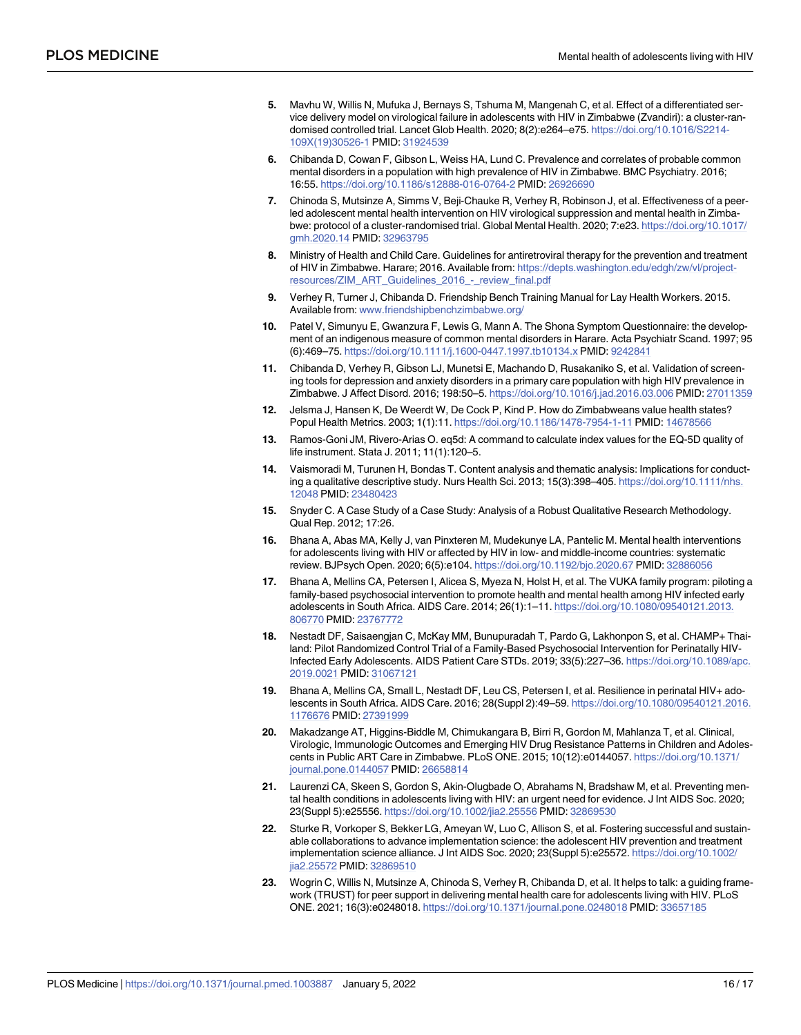- <span id="page-15-0"></span>**[5](#page-2-0).** Mavhu W, Willis N, Mufuka J, Bernays S, Tshuma M, Mangenah C, et al. Effect of a differentiated service delivery model on virological failure in adolescents with HIV in Zimbabwe (Zvandiri): a cluster-randomised controlled trial. Lancet Glob Health. 2020; 8(2):e264–e75. [https://doi.org/10.1016/S2214-](https://doi.org/10.1016/S2214-109X%2819%2930526-1) [109X\(19\)30526-1](https://doi.org/10.1016/S2214-109X%2819%2930526-1) PMID: [31924539](http://www.ncbi.nlm.nih.gov/pubmed/31924539)
- **[6](#page-2-0).** Chibanda D, Cowan F, Gibson L, Weiss HA, Lund C. Prevalence and correlates of probable common mental disorders in a population with high prevalence of HIV in Zimbabwe. BMC Psychiatry. 2016; 16:55. <https://doi.org/10.1186/s12888-016-0764-2> PMID: [26926690](http://www.ncbi.nlm.nih.gov/pubmed/26926690)
- **[7](#page-3-0).** Chinoda S, Mutsinze A, Simms V, Beji-Chauke R, Verhey R, Robinson J, et al. Effectiveness of a peerled adolescent mental health intervention on HIV virological suppression and mental health in Zimbabwe: protocol of a cluster-randomised trial. Global Mental Health. 2020; 7:e23. [https://doi.org/10.1017/](https://doi.org/10.1017/gmh.2020.14) [gmh.2020.14](https://doi.org/10.1017/gmh.2020.14) PMID: [32963795](http://www.ncbi.nlm.nih.gov/pubmed/32963795)
- **[8](#page-3-0).** Ministry of Health and Child Care. Guidelines for antiretroviral therapy for the prevention and treatment of HIV in Zimbabwe. Harare; 2016. Available from: [https://depts.washington.edu/edgh/zw/vl/project](https://depts.washington.edu/edgh/zw/vl/project-resources/ZIM_ART_Guidelines_2016_-_review_final.pdf)[resources/ZIM\\_ART\\_Guidelines\\_2016\\_-\\_review\\_final.pdf](https://depts.washington.edu/edgh/zw/vl/project-resources/ZIM_ART_Guidelines_2016_-_review_final.pdf)
- **[9](#page-3-0).** Verhey R, Turner J, Chibanda D. Friendship Bench Training Manual for Lay Health Workers. 2015. Available from: [www.friendshipbenchzimbabwe.org/](http://www.friendshipbenchzimbabwe.org/)
- **[10](#page-3-0).** Patel V, Simunyu E, Gwanzura F, Lewis G, Mann A. The Shona Symptom Questionnaire: the development of an indigenous measure of common mental disorders in Harare. Acta Psychiatr Scand. 1997; 95 (6):469–75. <https://doi.org/10.1111/j.1600-0447.1997.tb10134.x> PMID: [9242841](http://www.ncbi.nlm.nih.gov/pubmed/9242841)
- **[11](#page-3-0).** Chibanda D, Verhey R, Gibson LJ, Munetsi E, Machando D, Rusakaniko S, et al. Validation of screening tools for depression and anxiety disorders in a primary care population with high HIV prevalence in Zimbabwe. J Affect Disord. 2016; 198:50–5. <https://doi.org/10.1016/j.jad.2016.03.006> PMID: [27011359](http://www.ncbi.nlm.nih.gov/pubmed/27011359)
- **[12](#page-4-0).** Jelsma J, Hansen K, De Weerdt W, De Cock P, Kind P. How do Zimbabweans value health states? Popul Health Metrics. 2003; 1(1):11. <https://doi.org/10.1186/1478-7954-1-11> PMID: [14678566](http://www.ncbi.nlm.nih.gov/pubmed/14678566)
- **[13](#page-4-0).** Ramos-Goni JM, Rivero-Arias O. eq5d: A command to calculate index values for the EQ-5D quality of life instrument. Stata J. 2011; 11(1):120–5.
- **[14](#page-5-0).** Vaismoradi M, Turunen H, Bondas T. Content analysis and thematic analysis: Implications for conducting a qualitative descriptive study. Nurs Health Sci. 2013; 15(3):398–405. [https://doi.org/10.1111/nhs.](https://doi.org/10.1111/nhs.12048) [12048](https://doi.org/10.1111/nhs.12048) PMID: [23480423](http://www.ncbi.nlm.nih.gov/pubmed/23480423)
- **[15](#page-5-0).** Snyder C. A Case Study of a Case Study: Analysis of a Robust Qualitative Research Methodology. Qual Rep. 2012; 17:26.
- **[16](#page-12-0).** Bhana A, Abas MA, Kelly J, van Pinxteren M, Mudekunye LA, Pantelic M. Mental health interventions for adolescents living with HIV or affected by HIV in low- and middle-income countries: systematic review. BJPsych Open. 2020; 6(5):e104. <https://doi.org/10.1192/bjo.2020.67> PMID: [32886056](http://www.ncbi.nlm.nih.gov/pubmed/32886056)
- **[17](#page-12-0).** Bhana A, Mellins CA, Petersen I, Alicea S, Myeza N, Holst H, et al. The VUKA family program: piloting a family-based psychosocial intervention to promote health and mental health among HIV infected early adolescents in South Africa. AIDS Care. 2014; 26(1):1–11. [https://doi.org/10.1080/09540121.2013.](https://doi.org/10.1080/09540121.2013.806770) [806770](https://doi.org/10.1080/09540121.2013.806770) PMID: [23767772](http://www.ncbi.nlm.nih.gov/pubmed/23767772)
- **[18](#page-12-0).** Nestadt DF, Saisaengjan C, McKay MM, Bunupuradah T, Pardo G, Lakhonpon S, et al. CHAMP+ Thailand: Pilot Randomized Control Trial of a Family-Based Psychosocial Intervention for Perinatally HIV-Infected Early Adolescents. AIDS Patient Care STDs. 2019; 33(5):227–36. [https://doi.org/10.1089/apc.](https://doi.org/10.1089/apc.2019.0021) [2019.0021](https://doi.org/10.1089/apc.2019.0021) PMID: [31067121](http://www.ncbi.nlm.nih.gov/pubmed/31067121)
- **[19](#page-12-0).** Bhana A, Mellins CA, Small L, Nestadt DF, Leu CS, Petersen I, et al. Resilience in perinatal HIV+ adolescents in South Africa. AIDS Care. 2016; 28(Suppl 2):49–59. [https://doi.org/10.1080/09540121.2016.](https://doi.org/10.1080/09540121.2016.1176676) [1176676](https://doi.org/10.1080/09540121.2016.1176676) PMID: [27391999](http://www.ncbi.nlm.nih.gov/pubmed/27391999)
- **[20](#page-13-0).** Makadzange AT, Higgins-Biddle M, Chimukangara B, Birri R, Gordon M, Mahlanza T, et al. Clinical, Virologic, Immunologic Outcomes and Emerging HIV Drug Resistance Patterns in Children and Adolescents in Public ART Care in Zimbabwe. PLoS ONE. 2015; 10(12):e0144057. [https://doi.org/10.1371/](https://doi.org/10.1371/journal.pone.0144057) [journal.pone.0144057](https://doi.org/10.1371/journal.pone.0144057) PMID: [26658814](http://www.ncbi.nlm.nih.gov/pubmed/26658814)
- **[21](#page-13-0).** Laurenzi CA, Skeen S, Gordon S, Akin-Olugbade O, Abrahams N, Bradshaw M, et al. Preventing mental health conditions in adolescents living with HIV: an urgent need for evidence. J Int AIDS Soc. 2020; 23(Suppl 5):e25556. <https://doi.org/10.1002/jia2.25556> PMID: [32869530](http://www.ncbi.nlm.nih.gov/pubmed/32869530)
- **[22](#page-13-0).** Sturke R, Vorkoper S, Bekker LG, Ameyan W, Luo C, Allison S, et al. Fostering successful and sustainable collaborations to advance implementation science: the adolescent HIV prevention and treatment implementation science alliance. J Int AIDS Soc. 2020; 23(Suppl 5):e25572. [https://doi.org/10.1002/](https://doi.org/10.1002/jia2.25572) [jia2.25572](https://doi.org/10.1002/jia2.25572) PMID: [32869510](http://www.ncbi.nlm.nih.gov/pubmed/32869510)
- **[23](#page-13-0).** Wogrin C, Willis N, Mutsinze A, Chinoda S, Verhey R, Chibanda D, et al. It helps to talk: a guiding framework (TRUST) for peer support in delivering mental health care for adolescents living with HIV. PLoS ONE. 2021; 16(3):e0248018. <https://doi.org/10.1371/journal.pone.0248018> PMID: [33657185](http://www.ncbi.nlm.nih.gov/pubmed/33657185)